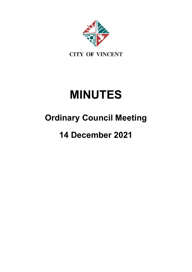

# **MINUTES**

# **Ordinary Council Meeting**

# **14 December 2021**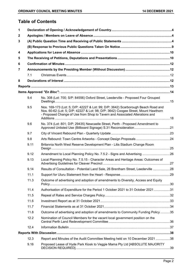# **Table of Contents**

| $\mathbf 1$ |      |                                                                                                                                                                                                                                                        |  |  |
|-------------|------|--------------------------------------------------------------------------------------------------------------------------------------------------------------------------------------------------------------------------------------------------------|--|--|
| 2           |      |                                                                                                                                                                                                                                                        |  |  |
| 3           |      |                                                                                                                                                                                                                                                        |  |  |
|             |      |                                                                                                                                                                                                                                                        |  |  |
| 4           |      |                                                                                                                                                                                                                                                        |  |  |
| 5           |      |                                                                                                                                                                                                                                                        |  |  |
| 6           |      |                                                                                                                                                                                                                                                        |  |  |
| 7           |      |                                                                                                                                                                                                                                                        |  |  |
|             | 7.1  |                                                                                                                                                                                                                                                        |  |  |
| 8           |      |                                                                                                                                                                                                                                                        |  |  |
|             |      |                                                                                                                                                                                                                                                        |  |  |
|             |      |                                                                                                                                                                                                                                                        |  |  |
|             | 9.4  | No. 308 (Lot: 700; S/P: 84556) Oxford Street, Leederville - Proposed Four Grouped                                                                                                                                                                      |  |  |
|             | 9.5  | Nos. 169-173 (Lot: 5; D/P: 42227 & Lot: 99; D/P: 3642) Scarborough Beach Road and<br>Nos. 60-62 (Lot: 5; D/P: 42227 & Lot: 98; D/P: 3642) Coogee Street, Mount Hawthorn<br>- Proposed Change of Use from Shop to Tavern and Associated Alterations and |  |  |
|             | 9.6  | No. 374 (Lot: 801; D/P: 29435) Newcastle Street, Perth - Proposed Amendment to                                                                                                                                                                         |  |  |
|             | 9.7  |                                                                                                                                                                                                                                                        |  |  |
|             | 9.8  |                                                                                                                                                                                                                                                        |  |  |
|             | 9.11 | Britannia North West Reserve Development Plan - Litis Stadium Change Room                                                                                                                                                                              |  |  |
|             | 9.12 | Amendment to Local Planning Policy No. 7.5.2 - Signs and Advertising 26                                                                                                                                                                                |  |  |
|             | 9.13 | Local Planning Policy No. 7.5.15 - Character Areas and Heritage Areas: Outcomes of                                                                                                                                                                     |  |  |
|             | 9.14 | Results of Consultation - Potential Land Sale, 26 Brentham Street, Leederville 28                                                                                                                                                                      |  |  |
|             | 11.1 |                                                                                                                                                                                                                                                        |  |  |
|             | 11.3 | Outcome of advertising and adoption of amendments to Diversity, Access and Equity                                                                                                                                                                      |  |  |
|             | 11.4 | Authorisation of Expenditure for the Period 1 October 2021 to 31 October 2021 31                                                                                                                                                                       |  |  |
|             | 11.5 |                                                                                                                                                                                                                                                        |  |  |
|             | 11.6 |                                                                                                                                                                                                                                                        |  |  |
|             | 11.7 |                                                                                                                                                                                                                                                        |  |  |
|             | 11.8 | Outcome of advertising and adoption of amendments to Community Funding Policy35                                                                                                                                                                        |  |  |
|             | 12.2 | Nomination of Council Members for the vacant local government position on the                                                                                                                                                                          |  |  |
|             | 12.4 |                                                                                                                                                                                                                                                        |  |  |
|             |      |                                                                                                                                                                                                                                                        |  |  |
|             | 12.3 | Report and Minutes of the Audit Committee Meeting held on 10 December 2021 38                                                                                                                                                                          |  |  |
|             | 9.16 | Proposed Lease of Hyde Park Kiosk to Veggie Mama Pty Ltd [ABSOLUTE MAJORITY                                                                                                                                                                            |  |  |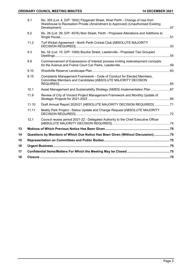|    | 9.1   | No. 305 (Lot: 4, D/P: 1602) Fitzgerald Street, West Perth - Change of Use from<br>Warehouse to Recreation Private (Amendment to Approved) (Unauthorised Existing |  |
|----|-------|------------------------------------------------------------------------------------------------------------------------------------------------------------------|--|
|    | 9.2   | No. 26 (Lot: 29; D/P: 4576) Moir Street, Perth - Proposed Alterations and Additions to                                                                           |  |
|    | 11.2  | Turf Wicket Agreement - North Perth Cricket Club [ABSOLUTE MAJORITY                                                                                              |  |
|    | 9.3   | No. 52 (Lot: 10; D/P: 1069) Bourke Street, Leederville - Proposed Two Grouped                                                                                    |  |
|    | 9.9   | Commencement of Expressions of Interest process inviting redevelopment concepts                                                                                  |  |
|    | 9.10  |                                                                                                                                                                  |  |
|    | 9.15  | Complaints Management Framework - Code of Conduct for Elected Members,<br>Committee Members and Candidates [ABSOLUTE MAJORITY DECISION                           |  |
|    | 10.1  | Asset Management and Sustainability Strategy (AMSS) Implementation Plan 67                                                                                       |  |
|    | 11.9  | Review of City of Vincent Project Management Framework and Monthly Update of                                                                                     |  |
|    | 11.10 | Draft Annual Report 2020/21 [ABSOLUTE MAJORITY DECISION REQUIRED]71                                                                                              |  |
|    | 11.11 | Beatty Park Project - Status Update and Change Request [ABSOLUTE MAJORITY                                                                                        |  |
|    | 12.1  | Council recess period 2021-22 - Delegated Authority to the Chief Executive Officer                                                                               |  |
| 13 |       |                                                                                                                                                                  |  |
| 14 |       | Questions by Members of Which Due Notice Has Been Given (Without Discussion)75                                                                                   |  |
| 15 |       |                                                                                                                                                                  |  |
| 16 |       |                                                                                                                                                                  |  |
| 17 |       |                                                                                                                                                                  |  |
| 18 |       |                                                                                                                                                                  |  |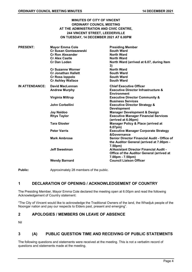# **MINUTES OF CITY OF VINCENT ORDINARY COUNCIL MEETING AT THE ADMINISTRATION AND CIVIC CENTRE, 244 VINCENT STREET, LEEDERVILLE ON TUESDAY, 14 DECEMBER 2021 AT 6.00PM**

| <b>PRESENT:</b> | <b>Mayor Emma Cole</b><br><b>Cr Susan Gontaszewski</b><br><b>Cr Ron Alexander</b><br><b>Cr Alex Castle</b><br><b>Cr Dan Loden</b> | <b>Presiding Member</b><br><b>South Ward</b><br><b>North Ward</b><br>North Ward<br>North Ward (arrived at 6.07, during Item<br>3) |
|-----------------|-----------------------------------------------------------------------------------------------------------------------------------|-----------------------------------------------------------------------------------------------------------------------------------|
|                 | <b>Cr Suzanne Worner</b><br><b>Cr Jonathan Hallett</b><br><b>Cr Ross loppolo</b><br><b>Cr Ashley Wallace</b>                      | <b>North Ward</b><br><b>South Ward</b><br><b>South Ward</b><br><b>South Ward</b>                                                  |
| IN ATTENDANCE:  | David MacLennan<br><b>Andrew Murphy</b>                                                                                           | <b>Chief Executive Officer</b><br><b>Executive Director Infrastructure &amp;</b><br><b>Environment</b>                            |
|                 | Virginia Miltrup                                                                                                                  | <b>Executive Director Community &amp;</b><br><b>Business Services</b>                                                             |
|                 | John Corbellini                                                                                                                   | <b>Executive Director Strategy &amp;</b><br><b>Development</b>                                                                    |
|                 | <b>Jay Naidoo</b>                                                                                                                 | <b>Manager Development &amp; Design</b>                                                                                           |
|                 | <b>Rhys Taylor</b>                                                                                                                | <b>Executive Manager Financial Services</b><br>(arrived at 6.06pm)                                                                |
|                 | <b>Tara Gloster</b>                                                                                                               | <b>Manager Policy &amp; Place (arrived at</b><br>6.07pm)                                                                          |
|                 | <b>Peter Varris</b>                                                                                                               | <b>Executive Manager Corporate Strategy</b><br><b>&amp;Governance</b>                                                             |
|                 | <b>Mark Ambrose</b>                                                                                                               | Senior Director Financial Audit - Office of<br>the Auditor General (arrived at 7.00pm -<br>7.50 <sub>pm</sub>                     |
|                 | <b>Jeff Sweetman</b>                                                                                                              | A/Assistant Director Financial Audit -<br><b>Office of the Auditor General (arrived at</b><br>7.00pm - 7.50pm)                    |
|                 | <b>Wendy Barnard</b>                                                                                                              | <b>Council Liaison Officer</b>                                                                                                    |

**Public:** Approximately 28 members of the public.

# <span id="page-3-0"></span>**1 DECLARATION OF OPENING / ACKNOWLEDGEMENT OF COUNTRY**

The Presiding Member, Mayor Emma Cole declared the meeting open at 6.00pm and read the following Acknowledgement of Country statement:

"The City of Vincent would like to acknowledge the Traditional Owners of the land, the Whadjuk people of the Noongar nation and pay our respects to Elders past, present and emerging".

# <span id="page-3-1"></span>**2 APOLOGIES / MEMBERS ON LEAVE OF ABSENCE**

Nil

# <span id="page-3-2"></span>**3 (A) PUBLIC QUESTION TIME AND RECEIVING OF PUBLIC STATEMENTS**

The following questions and statements were received at the meeting. This is not a verbatim record of questions and statements made at the meeting.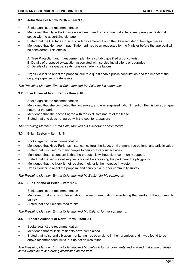#### **3.1 John Viska of North Perth – Item 9.16**

- Spoke against the recommendation
- Mentioned that Hyde Park has always been free from commercial enterprises, purely recreational space with no advertising signage
- Stated that the Heritage Council of WA has entered it onto the State register of heritage places
- Mentioned that Heritage Impact Statement has been requested by the Minister before the approval will be considered. This entails:
	- A. Tree Protection and management plan by a suitably qualified arboriculturist.
	- B. Details of proposed excavation associated with service installations or upgrades
	- C. Details of any signage, seats, bins or shade installations.
- Urges Council to reject the proposal due to a questionable public consultation and the impact of the ongoing expense on ratepayers.

*The Presiding Member, Emma Cole, thanked Mr Viska for his comments.*

#### **3.2 Lyn Oliver of North Perth – Item 9.16**

- Spoke against the recommendation
- Mentioned that she completed the first survey, and was surprised it didn't mention the historical, unique nature of the park
- Mentioned that she doesn't agree with the exclusive nature of the lease
- Stated that she does not agree with the cost to ratepayers

*The Presiding Member, Emma Cole, thanked Ms Oliver for her comments.*

#### **3.3 Brian Easton – Item 9.16**

- Spoke against the recommendation
- Mentioned that Hyde Park has historical, cultural, heritage, environment, recreational and artistic value
- Stated that it is used by many people to carry out various activities
- Mentioned that his concern is that the proposal is without clear community support
- Stated that the service delivery vehicles will be accessing the park near the playground
- Mentioned that the kiosk is not required, neither is the increase in waste
- Urges Council to reject the proposal and carry out a further community survey

*The Presiding Member, Emma Cole, thanked Mr Easton for his comments.*

#### **3.4 Sue Carland of Perth – Item 9.16**

- Spoke against the recommendation
- Mentioned that she is confused about the recommendation considering the results of the community survey
- Stated that she likes the food trucks

*The Presiding Member, Emma Cole, thanked Ms Caland for her comments.*

#### **3.5 Richard Zielinski of North Perth – Item 9.1**

- Spoke against the recommendation
- Mentioned that multiple residents have complained
- Stated that noise and vibration monitoring has been done in their premises and it was found to be above recommended limits, but no action was taken

*The Presiding Member, Emma Cole, thanked Mr Zielinski for his comments and advised that some of those items would be raised during discussion on the item.*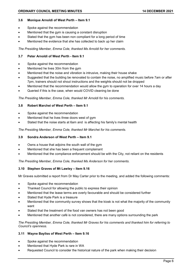#### **3.6 Monique Arnoldi of West Perth – Item 9.1**

- Spoke against the recommendation
- Mentioned that the gym is causing a constant disruption
- Stated that the gym has been non compliant for a long period of time
- Mentioned the evidence that she has collected to back up her claim

*The Presiding Member, Emma Cole, thanked Ms Arnoldi for her comments.*

# **3.7 Peter Arnoldi of West Perth - Item 9.1**

- Spoke against the recommendation
- Mentioned he lives 30m from the gym
- Mentioned that the noise and vibration is intrusive, making their house shake
- Suggested that the building be renovated to contain the noise, no amplified music before 7am or after 7pm, trainers should not shout instructions and the weights should not be dropped
- Mentioned that the recommendation would allow the gym to operation for over 14 hours a day
- Queried if this is the case, when would COVID cleaning be done

*The Presiding Member, Emma Cole, thanked Mr Arnoldi for his comments.*

# **3.8 Robert Marchei of West Perth – Item 9.1**

- Spoke against the recommendation
- Mentioned that he lives three doors west of gym
- Stated that the noise starts at 6am and is affecting his family's mental health

*The Presiding Member, Emma Cole, thanked Mr Marchei for his comments.*

# **3.9 Sondra Anderson of West Perth – Item 9.1**

- Owns a house that adjoins the south wall of the gym
- Mentioned that she has been a frequent complainant
- Mentioned that the compliance enforcement should be with the City, not reliant on the residents

*The Presiding Member, Emma Cole, thanked Ms Anderson for her comments.*

# **3.10 Stephen Graves of Mt Lawley – Item 9.16**

Mr Graves submitted a report from Dr May Carter prior to the meeting, and added the following comments:

- Spoke against the recommendation
- Thanked Council for allowing the public to express their opinion
- Mentioned that the lease terms are overly favourable and should be considered further
- Stated that Hyde Park is a treasure
- Mentioned that the community survey shows that the kiosk is not what the majority of the community want
- Stated that the treatment of the food van owners has not been good
- Mentioned that another café is not considered, there are many options surrounding the park

*The Presiding Member, Emma Cole, thanked Mr Graves for his comments and thanked him for referring to Council's openness.*

# **3.11 Wayne Bayliss of West Perth – Item 9.16**

- Spoke against the recommendation
- Mentioned that Hyde Park is rare in WA
- Requested Council to consider the historical nature of the park when making their decision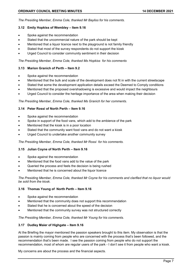*The Presiding Member, Emma Cole, thanked Mr Bayliss for his comments.*

#### **3.12 Emily Hopkiss of Wembley – Item 9.16**

- Spoke against the recommendation
- Stated that the uncommercial nature of the park should be kept
- Mentioned that a liquor licence next to the playground is not family friendly
- Stated that most of the survey respondents do not support the kiosk
- Urged Council to consider community sentiment in their decision

#### *The Presiding Member, Emma Cole, thanked Ms Hopkiss for his comments*

#### **3.13 Marion Granich of Perth – Item 9.2**

- Spoke against the recommendation
- Mentioned that the bulk and scale of the development does not fit in with the current streetscape
- Stated that some the development application details exceed the Deemed to Comply conditions
- Mentioned that the proposed overshadowing is excessive and would impact the neighbours
- Urged Council to consider the heritage importance of the area when making their decision

*The Presiding Member, Emma Cole, thanked Ms Granich for her comments.*

# **3.14 Peter Rossi of North Perth – Item 9.16**

- Spoke against the recommendation
- Spoke in support of the food vans, which add to the ambience of the park
- Mentioned that the kiosk is in a poor location
- Stated that the community want food vans and do not want a kiosk
- Urged Council to undertake another community survey

*The Presiding Member, Emma Cole, thanked Mr Rossi for his comments.*

#### **3.15 Julian Coyne of North Perth – Item 9.16**

- Spoke against the recommendation
- Mentioned that the food vans add to the value of the park
- Queried the process and feels the decision is being rushed
- Mentioned that he is concerned about the liquor licence

*The Presiding Member, Emma Cole, thanked Mr Coyne for his comments and clarified that no liquor would be sold from the kiosk.*

# **3.16 Thomas Young of North Perth – Item 9.16**

- Spoke against the recommendation
- Mentioned that the community does not support this recommendation
- Stated that he is concerned about the speed of the decision
- Mentioned that the community survey was not structured correctly

*The Presiding Member, Emma Cole, thanked Mr Young for his comments.*

# **3.17 Dudley Maier of Highgate – Item 9.16**

At the Briefing the mayor mentioned the passion speakers brought to this item. My observation is that the passion is mainly coming from people who are concerned with the process that's been followed, and the recommendation that's been made. I see the passion coming from people who do not support the recommendation, most of whom are regular users of the park - I don't see it from people who want a kiosk.

My concerns are about the process and the financial aspects.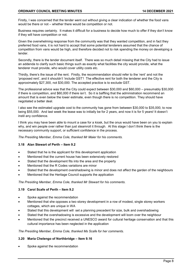Firstly, I was concerned that the tender went out without giving a clear indication of whether the food vans would be there or not – whether there would be competition or not.

Business requires certainty. It makes it difficult for a business to decide how much to offer if they don't know if they will have competition or not.

Given the overwhelming response from the community was that they wanted competition, and in fact they preferred food vans, it is not hard to accept that some potential tenderers assumed that the chance of competition from vans would be high, and therefore decided not to risk spending the money on developing a tender.

Secondly, there is the tender document itself. There was so much detail missing that the City had to issue an addenda to clarify such basic things such as exactly what facilities the city would provide, what the tenderer must provide, who would cover utility costs etc.

Thirdly, there's the issue of the rent. Firstly, the recommendation should refer to the 'rent' and not the 'proposed rent', and it shouldn't 'include GST'! The effective rent for both the tenderer and the City is approximately \$27,300, not \$30,000. The accepted practice is to exclude GST.

The professional advice was that the City could expect between \$30,000 and \$60,000 – presumably \$30,000 if there is competition, and \$60,000 if there isn't. So it is baffling that the administration recommend an amount that is even below the lower estimate, even though there is no competition. They should have negotiated a better deal.

I also see the estimated upgrade cost to the community has gone from between \$30,000 to \$35,000, to now being \$55,000. And last week the lease was to initially be for 2 years, and now it is for 5 years! It doesn't instil any confidence.

I think you may have been able to mount a case for a kiosk, but the onus would have been on you to explain why, and win people over rather than just steamroll it through. At this stage I don't think there is the necessary community support, or sufficient confidence in the process.

*The Presiding Member, Emma Cole, thanked Mr Maier for his comments.*

# **3.18 Alan Stewart of Perth – Item 9.2**

- Stated that he is the applicant for this development application
- Mentioned that the current house has been extensively restored
- Stated that the development fits into the area and the property
- Mentioned that the R Codes variations are minor
- Stated that the development overshadowing is minor and does not affect the garden of the neighbours
- Mentioned that the Heritage Council supports the application

*The Presiding Member, Emma Cole, thanked Mr Stewart for his comments.*

# **3.19 Carol Scafe of Perth – Item 9.2**

- Spoke against the recommendation
- Mentioned that she opposes a two storey development in a row of modest, single storey workers cottages, which are unique in WA
- Stated that this development will set a planning precedent for size, bulk and overshadowing
- Stated that the overshadowing is excessive and the development will loom over the neighbour
- Mentioned that the precinct received a UNESCO award for cultural heritage conservation and that this cultural importance has been neglected in the application

#### *The Presiding Member, Emma Cole, thanked Ms Scafe for her comments.*

#### **3.20 Maria Chelengo of Northbridge – Item 9.16**

Spoke against the recommendation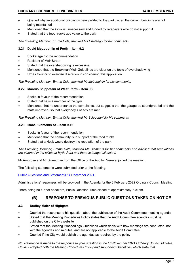- Queried why an additional building is being added to the park, when the current buildings are not being maintained
- Mentioned that the kiosk is unnecessary and funded by ratepayers who do not support it
- Stated that the food trucks add value to the park

*The Presiding Member, Emma Cole, thanked Ms Chelengo for her comments.*

# **3.21 David McLoughlin of Perth – Item 9.2**

- Spoke against the recommendation
- Resident of Moir Street
- Stated that the overshadowing is excessive
- Mentioned that the Brookman/Moir Guidelines are clear on the topic of overshadowing
- Urges Council to exercise discretion in considering this application

*The Presiding Member, Emma Cole, thanked Mr McLoughlin for his comments.*

# **3.22 Marcus Scippotani of West Perth – Item 9.2**

- Spoke in favour of the recommendation
- Stated that he is a member of the gym
- Mentioned that he understands the complaints, but suggests that the garage be soundproofed and the mats improved, so that everybody's needs are met

*The Presiding Member, Emma Cole, thanked Mr Scippotani for his comments.*

#### **3.23 Isabel Clements of – Item 9.16**

- Spoke in favour of the recommendation
- Mentioned that the community is in support of the food trucks
- Stated that a kiosk would destroy the reputation of the park

*The Presiding Member, Emma Cole, thanked Ms Clements for her comments and advised that renovations are planned in the toilets at Hyde Park and there is budget allocated.*

Mr Ambrose and Mr Sweetman from the Office of the Auditor General joined the meeting.

The following statements were submitted prior to the Meeting.

[Public Questions and Statements 14 December 2021](file://cov01srdata/COV01SRDATA/CorpServ/Governance&Risk/COUNCIL/Uploads%20(web%20and%20docs%20on%20tap)/2021/Ordinary%20Council%20Meetings/14%20December%202021/PUBLIC%20QUESTIONS%20AND%20STATEMENTS%2014%20DECEMBER%202021%20ORDINARY%20COUNCIL%20MEETING.pdf)

Administrations' responses will be provided in the Agenda for the 8 February 2022 Ordinary Council Meeting.

<span id="page-8-0"></span>There being no further speakers, Public Question Time closed at approximately 7.01pm.

# **(B) RESPONSE TO PREVIOUS PUBLIC QUESTIONS TAKEN ON NOTICE**

# **3.3 Dudley Maier of Highgate**

- Queried the response to his question about the publication of the Audit Committee meeting agenda.
- Stated that the Meeting Procedures Policy states that the Audit Committee agendas must be published on the City's website
- Stated that the Meeting Proceedings Guidelines which deals with how meetings are conducted, not with the agendas and minutes, and are not applicable to the Audit Committee
- Queried if the City would publish the agendas as required by the policy

*No. Reference is made to the response to your question in the 16 November 2021 Ordinary Council Minutes. Council adopted both the Meeting Procedures Policy and supporting Guidelines which state that*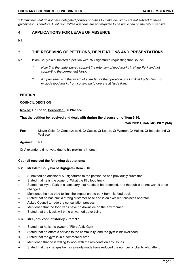*"Committees that do not have delegated powers or duties to make decisions are not subject to these guidelines". Therefore Audit Committee agendas are not required to be published on the City's website.*

# <span id="page-9-0"></span>**4 APPLICATIONS FOR LEAVE OF ABSENCE**

Nil

# <span id="page-9-1"></span>**5 THE RECEIVING OF PETITIONS, DEPUTATIONS AND PRESENTATIONS**

- **5.1** Islam Bouyihia submitted a petition with 753 signatures requesting that Council:
	- *1. Note that the undersigned support the retention of food trucks in Hyde Park and not supporting the permanent kiosk.*
	- *2. If it proceeds with the award of a tender for the operation of a kiosk at Hyde Park, not exclude food trucks from continuing to operate at Hyde Park.*

#### **PETITION**

#### **COUNCIL DECISION**

#### **Moved: Cr Loden, Seconded: Cr Wallace**

#### **That the petition be received and dealt with during the discussion of Item 9.16.**

#### **CARRIED UNANIMOUSLY (9-0)**

**For:** Mayor Cole, Cr Gontaszewski, Cr Castle, Cr Loden, Cr Worner, Cr Hallett, Cr Ioppolo and Cr **Wallace** 

#### **Against:** Nil

Cr Alexander did not vote due to his proximity interest.

#### **Council received the following deputations:**

#### **5.2 Mr Islam Bouyihia of Highgate– Item 9.16**

- Submitted an additional 50 signatures to the petition he had previously submitted.
- Stated that he is the owner of What the Flip food truck
- Stated that Hyde Park is a sanctuary that needs to be protected, and the public do not want it to be changed
- Mentioned he has tried to limit the impact on the park from his food truck
- Stated that he has built a strong customer base and is an excellent business operator
- Asked Council to redo the consultation process
- Mentioned that the food vans have no downside on the environment
- Stated that the kiosk will bring unwanted advertising

# **5.3 Mr Bjorn Voon of Morley - Item 9.1**

- Stated that he is the owner of Fibre Activ Gym
- Stated that he offers a service to the community, and the gym is his livelihood
- Stated that the gym is in a commercial area
- Mentioned that he is willing to work with the residents on any issues
- Stated that the changes he has already made have reduced the number of clients who attend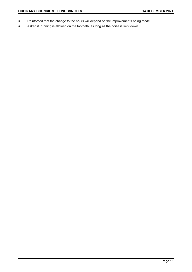- Reinforced that the change to the hours will depend on the improvements being made
- Asked if running is allowed on the footpath, as long as the noise is kept down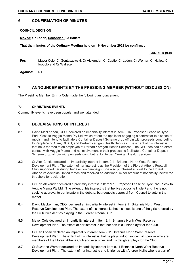# <span id="page-11-0"></span>**6 CONFIRMATION OF MINUTES**

# **COUNCIL DECISION**

# **Moved: Cr Loden, Seconded: Cr Hallett**

**That the minutes of the Ordinary Meeting held on 16 November 2021 be confirmed.**

#### **CARRIED (9-0)**

- **For:** Mayor Cole, Cr Gontaszewski, Cr Alexander, Cr Castle, Cr Loden, Cr Worner, Cr Hallett, Cr Ioppolo and Cr Wallace
- **Against:** Nil

# <span id="page-11-1"></span>**7 ANNOUNCEMENTS BY THE PRESIDING MEMBER (WITHOUT DISCUSSION)**

The Presiding Member Emma Cole made the following announcement:

# <span id="page-11-2"></span>**7.1 CHRISTMAS EVENTS**

Community events have been popular and well attended.

# <span id="page-11-3"></span>**8 DECLARATIONS OF INTEREST**

- 8.1 David MacLennan, CEO, declared an impartiality interest in Item 9.16 Proposed Lease of Hyde Park Kiosk to Veggie Mama Pty Ltd, which refers the applicant engaging a contractor to dispose of rubbish and intend to facilitate a Container Deposit Scheme drop off bin with proceeds contributing to People Who Care, RUAH, and Derbarl Yerrigan Health Services. The extent of his interest is that he is married to an employee at Derbarl Yerrigan Health Services. The CEO has had no direct contact with Veggie Mama and no involvement in their proposal to facilitate a Container Deposit Scheme drop off bin with proceeds contributing to Derbarl Yerrigan Health Services.
- 8.2 Cr Alex Castle declared an impartiality interest in Item 9.11 Britannia North West Reserve Development Plan. The extent of her interest is as the President of the Floreat Athena Football Club supported her during her election campaign. She also purchased a ticket to the Floreat Athena vs Adelaide United match and received an additional minor amount of hospitality, below the threshold for declaration.
- 8.3 Cr Ron Alexander declared a proximity interest in Item 9.16 [Proposed Lease of Hyde Park Kiosk to](https://www.vincent.wa.gov.au/Profiles/vincent/Assets/ClientData/Documents/Council/Agendas/2021/7_December_2021_Briefing/Item_5_16_Proposed_Lease_of_Hyde_Park_Kiosk_to_Veggie_Mama_Pty_Ltd.pdf)  [Veggie Mama Pty Ltd.](https://www.vincent.wa.gov.au/Profiles/vincent/Assets/ClientData/Documents/Council/Agendas/2021/7_December_2021_Briefing/Item_5_16_Proposed_Lease_of_Hyde_Park_Kiosk_to_Veggie_Mama_Pty_Ltd.pdf) The extent of his interest is that he lives opposite Hyde Park. He is not seeking approval to participate in the debate, but requests approval from Council to vote in the matter.
- 8.4 David MacLennan, CEO, declared an impartiality interest in Item 9.11 Britannia North West Reserve Development Plan. The extent of his interest is that his niece is one of the girls referred by the Club President as playing in the Floreat Athena Club.
- 8.5 Mayor Cole declared an impartiality interest in Item 9.11 Britannia North West Reserve Development Plan. The extent of her interest is that her son is a junior player of the Club.
- 8.6 Cr Dan Loden declared an impartiality interest Item 9.11 Britannia North West Reserve Development Plan. The extent of his interest is that he plays indoor soccer with people who are members of the Floreat Athena Club and executive, and his daughter plays for the Club.
- 8.7 Cr Suzanne Worner declared an impartiality interest Item 9.11 Britannia North West Reserve Development Plan. The extent of her interest is she is friends with Andrew Kailis who is a part of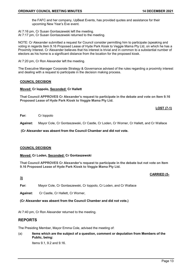the FAFC and her company, UpBeat Events, has provided quotes and assistance for their upcoming New Year's Eve event.

- At 7:16 pm, Cr Susan Gontaszewski left the meeting.
- At 7:17 pm, Cr Susan Gontaszewski returned to the meeting.

NOTE: Cr Alexander submitted a request for Council consider permitting him to participate (speaking and voting in regards Item 9.16 Proposed Lease of Hyde Park Kiosk to Veggie Mama Pty Ltd, on which he has a Proximity Interest. Cr Alexander believes that his interest is trivial and in common to a substantial number of electors as his home is a significant distance from the location for the proposed kiosk.

At 7:20 pm, Cr Ron Alexander left the meeting.

The Executive Manager Corporate Strategy & Governance advised of the rules regarding a proximity interest and dealing with a request to participate in the decision making process.

#### **COUNCIL DECISION**

#### **Moved: Cr Ioppolo, Seconded: Cr Hallett**

**That Council APPROVES Cr Alexander's request to participate in the debate and vote on Item 9.16 Proposed Lease of Hyde Park Kiosk to Veggie Mama Pty Ltd.**

**LOST (7-1)**

#### **For:** Cr Ioppolo

**Against:** Mayor Cole, Cr Gontaszewski, Cr Castle, Cr Loden, Cr Worner, Cr Hallett, and Cr Wallace

**(Cr Alexander was absent from the Council Chamber and did not vote.**

#### **COUNCIL DECISION**

#### **Moved: Cr Loden, Seconded: Cr Gontaszewski**

**That Council APPROVES Cr Alexander's request to participate in the debate but not vote on Item 9.16 Proposed Lease of Hyde Park Kiosk to Veggie Mama Pty Ltd.**

#### **CARRIED (5-**

# **3)**

**For:** Mayor Cole, Cr Gontaszewski, Cr Ioppolo, Cr Loden, and Cr Wallace

**Against:** Cr Castle, Cr Hallett, Cr Worner,

**(Cr Alexander was absent from the Council Chamber and did not vote.)**

<span id="page-12-0"></span>At 7:40 pm, Cr Ron Alexander returned to the meeting.

# **REPORTS**

The Presiding Member, Mayor Emma Cole, advised the meeting of:

(a) **Items which are the subject of a question, comment or deputation from Members of the Public, being:**

Items 9.1, 9.2 and 9.16.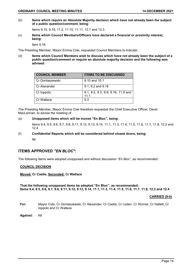(b) **Items which require an Absolute Majority decision which have not already been the subject of a public question/comment, being:**

Items 9.15, 9.16, 11.2, 11.10, 11.11, 12.1 and 12.3.

(c) **Items which Council Members/Officers have declared a financial or proximity interest, being:**

Item 9.16.

The Presiding Member, Mayor Emma Cole, requested Council Members to indicate:

(d) **Items which Council Members wish to discuss which have not already been the subject of a public question/comment or require an absolute majority decision and the following was advised:**

| <b>COUNCIL MEMBER</b> | <b>ITEMS TO BE DISCUSSED</b>               |
|-----------------------|--------------------------------------------|
| Cr Gontaszewski       | 9.10 and 10.1                              |
| Cr Alexander          | 9.1, 9.2 and 9.16                          |
| Cr loppolo            | 9.1, 9.2, 9.3, 9.9, 9.16, 11.9 and<br>11.1 |
| Cr Wallace            | 9.3                                        |

The Presiding Member, Mayor Emma Cole therefore requested the Chief Executive Officer, David MacLennan, to advise the meeting of:

# (e) **Unopposed items which will be moved "En Bloc", being:**

Items 9.4, 9.5, 9.6, 9.7, 9.8, 9.11, 9.12, 9.13, 9.14, 11.1, 11.3, 11.4, 11.5, 11.6, 11.7, 11.8, 12.2 and 12.4

# (f) **Confidential Reports which will be considered behind closed doors, being:**

Nil

# <span id="page-13-0"></span>**ITEMS APPROVED** *"EN BLOC"***:**

The following Items were adopted unopposed and without discussion *"En Bloc"*, as recommended:

# **COUNCIL DECISION**

**Moved: Cr Castle, Seconded: Cr Wallace**

**That the following unopposed items be adopted "En Bloc", as recommended: Items 9.4, 9.5, 9.6, 9.7, 9.8, 9.11, 9.12, 9.13, 9.14, 11.1, 11.3, 11.4, 11.5, 11.6, 11.7, 11.8, 12.2 and 12.4**

#### **CARRIED (9-0)**

- **For:** Mayor Cole, Cr Gontaszewski, Cr Alexander, Cr Castle, Cr Loden, Cr Worner, Cr Hallett, Cr Ioppolo and Cr Wallace
- **Against:** Nil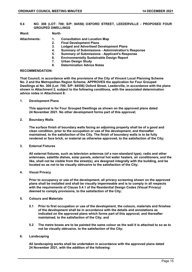<span id="page-14-0"></span>**9.4 NO. 308 (LOT: 700; S/P: 84556) OXFORD STREET, LEEDERVILLE - PROPOSED FOUR GROUPED DWELLINGS**

**Ward: North**

- 
- **Attachments: 1. Consultation and Location Map 2. Final Development Plans** 
	-
	- **3. Lodged and Advertised Development Plans**
	- **4. Summary of Submissions - Administration's Response**
	- **5. Summary of Submissions - Applicant's Response**
	- **6. Environmentally Sustainable Design Report**
	- **7. Urban Design Study**
	- **8. Determination Advice Notes**

#### **RECOMMENDATION:**

**That Council, in accordance with the provisions of the City of Vincent Local Planning Scheme No. 2 and the Metropolitan Region Scheme, APPROVES the application for Four Grouped Dwellings at No. 308 (Lot: 700; S/P: 84556) Oxford Street, Leederville, in accordance with the plans shown in Attachment 2, subject to the following conditions, with the associated determination advice notes in Attachment 8:**

**1. Development Plans**

**This approval is for Four Grouped Dwellings as shown on the approved plans dated 24 November 2021. No other development forms part of this approval;**

**2. Boundary Walls**

**The surface finish of boundary walls facing an adjoining property shall be of a good and clean condition, prior to the occupation or use of the development, and thereafter maintained, to the satisfaction of the City. The finish of boundary walls is to be fully rendered or face brick, or material as otherwise approved, to the satisfaction of the City;**

**3. External Fixtures**

**All external fixtures, such as television antennas (of a non-standard type), radio and other antennaes, satellite dishes, solar panels, external hot water heaters, air conditioners, and the like, shall not be visible from the street(s), are designed integrally with the building, and be located so as not to be visually obtrusive to the satisfaction of the City;**

**4. Visual Privacy**

**Prior to occupancy or use of the development, all privacy screening shown on the approved plans shall be installed and shall be visually impermeable and is to comply in all respects with the requirements of Clause 5.4.1 of the Residential Design Codes (Visual Privacy) deemed to comply provisions, to the satisfaction of the City;**

- **5. Colours and Materials**
	- **5.1 Prior to first occupation or use of the development, the colours, materials and finishes of the development shall be in accordance with the details and annotations as indicated on the approved plans which forms part of this approval, and thereafter maintained, to the satisfaction of the City; and**
	- **5.2 The metre boxes are to be painted the same colour as the wall it is attached to so as to not be visually obtrusive, to the satisfaction of the City;**
- **6. Landscaping**

**All landscaping works shall be undertaken in accordance with the approved plans dated 24 November 2021, with the addition of the following:**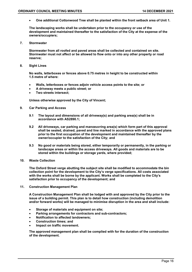• **One additional Cottonwood Tree shall be planted within the front setback area of Unit 1.**

**The landscaping works shall be undertaken prior to the occupancy or use of the development and maintained thereafter to the satisfaction of the City at the expense of the owners/occupiers;**

**7. Stormwater**

**Stormwater from all roofed and paved areas shall be collected and contained on site. Stormwater must not affect or be allowed to flow onto or into any other property or road reserve;**

**8. Sight Lines**

**No walls, letterboxes or fences above 0.75 metres in height to be constructed within 1.5 metre of where:**

- **Walls, letterboxes or fences adjoin vehicle access points to the site; or**
- **A driveway meets a public street; or**
- **Two streets intersect;**

**Unless otherwise approved by the City of Vincent;**

- **9. Car Parking and Access**
	- **9.1 The layout and dimensions of all driveway(s) and parking area(s) shall be in accordance with AS2890.1;**
	- **9.2 All driveways, car parking and manoeuvring area(s) which form part of this approval shall be sealed, drained, paved and line marked in accordance with the approved plans prior to the first occupation of the development and maintained thereafter by the owner/occupier to the satisfaction of the City; and**
	- **9.3 No good or materials being stored, either temporarily or permanently, in the parking or landscape areas or within the access driveways. All goods and materials are to be stored within the buildings or storage yards, where provided;**
- **10. Waste Collection**

**The Oxford Street verge abutting the subject site shall be modified to accommodate the bin collection point for the development to the City's verge specifications. All costs associated with the works shall be borne by the applicant. Works shall be completed to the City's satisfaction prior to occupancy of the development; and**

**11. Construction Management Plan**

**A Construction Management Plan shall be lodged with and approved by the City prior to the issue of a building permit. This plan is to detail how construction (including demolition and/or forward works) will be managed to minimise disruption in the area and shall include:**

- **Storage of materials and equipment on site;**
- **Parking arrangements for contractors and sub-contractors;**
- **Notification to affected landowners;**
- **Construction times; and**
- **Impact on traffic movement.**

**The approved management plan shall be complied with for the duration of the construction of the development***.*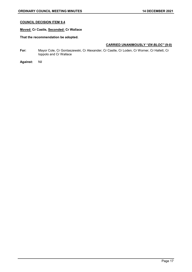# **COUNCIL DECISION ITEM 9.4**

# **Moved: Cr Castle, Seconded: Cr Wallace**

# **That the recommendation be adopted.**

- **For:** Mayor Cole, Cr Gontaszewski, Cr Alexander, Cr Castle, Cr Loden, Cr Worner, Cr Hallett, Cr Ioppolo and Cr Wallace
- **Against:** Nil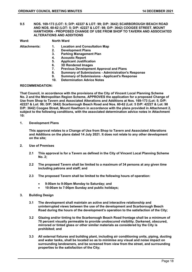<span id="page-17-0"></span>**9.5 NOS. 169-173 (LOT: 5; D/P: 42227 & LOT: 99; D/P: 3642) SCARBOROUGH BEACH ROAD AND NOS. 60-62 (LOT: 5; D/P: 42227 & LOT: 98; D/P: 3642) COOGEE STREET, MOUNT HAWTHORN - PROPOSED CHANGE OF USE FROM SHOP TO TAVERN AND ASSOCIATED ALTERATIONS AND ADDITIONS**

| Ward: | <b>North Ward</b> |
|-------|-------------------|
|-------|-------------------|

| Attachments: |  |  |
|--------------|--|--|
|--------------|--|--|

- **Attachments: 1. Location and Consultation Map** 
	- **2. Development Plans**
	- **3. Parking Management Plan**
	- **4. Acoustic Report**
	- **5. Applicant Justification**
	- **6. 3D Rendered Images**
	- **7. Previous Development Approval and Plans**
	- **8. Summary of Submissions - Administration's Response**
	- **9. Summary of Submissions - Applicant's Response**
	- **10. Determination Advice Notes**

#### **RECOMMENDATION:**

**That Council, in accordance with the provisions of the City of Vincent Local Planning Scheme No. 2 and the Metropolitan Region Scheme, APPROVES the application for a proposed Change of Use from Shop to Tavern and Associated Alterations and Additions at Nos. 169-173 (Lot: 5; D/P: 42227 & Lot: 99; D/P: 3642) Scarborough Beach Road and Nos. 60-62 (Lot: 5 D/P: 42227 & Lot: 98 D/P: 3642) Coogee Street, Mount Hawthorn in accordance with the plans provided in Attachment 2, subject to the following conditions, with the associated determination advice notes in Attachment 10:**

**1. Development Plans**

**This approval relates to a Change of Use from Shop to Tavern and Associated Alterations and Additions on the plans dated 14 July 2021. It does not relate to any other development on the site;**

- **2. Use of Premises**
	- **2.1 This approval is for a Tavern as defined in the City of Vincent Local Planning Scheme No. 2;**
	- **2.2 The proposed Tavern shall be limited to a maximum of 34 persons at any given time including patrons and staff; and**
	- **2.3 The proposed Tavern shall be limited to the following hours of operation:**
		- **9:00am to 9:00pm Monday to Saturday; and**
		- **10:00am to 7:00pm Sunday and public holidays;**
- **3. Building Design**
	- **3.1 The development shall maintain an active and interactive relationship and uninterrupted views between the use of the development and Scarborough Beach Road during the hours of the development's operation to the satisfaction of the City;**
	- **3.2 Glazing and/or tinting to the Scarborough Beach Road frontage shall be a minimum of 70 percent visually permeable to provide unobscured visibility. Darkened, obscured, mirrored or tinted glass or other similar materials as considered by the City is prohibited; and**
	- **3.3 All external fixtures and building plant, including air conditioning units, piping, ducting and water tanks, shall be located so as to minimise any visual and noise impact on surrounding landowners, and be screened from view from the street, and surrounding properties to the satisfaction of the City;**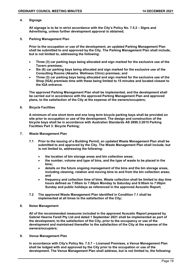#### **4. Signage**

**All signage is to be in strict accordance with the City's Policy No. 7.5.2 – Signs and Advertising, unless further development approval is obtained;**

**5. Parking Management Plan**

**Prior to the occupation or use of the development, an updated Parking Management Plan shall be submitted to and approved by the City. The Parking Management Plan shall include, but is not limited to, addressing the following:**

- **Three (3) car parking bays being allocated and sign marked for the exclusive use of the Tavern premises;**
- **Six (6) car parking bays being allocated and sign marked for the exclusive use of the Consulting Rooms (Akasha Wellness Clinic) premises; and**
- **Three (3) car parking bays being allocated and sign marked for the exclusive use of the Shop (IGA) premises time with these being limited to 15 minutes and located closest to the IGA entrance.**

**The approved Parking Management Plan shall be implemented, and the development shall be carried out in accordance with the approved Parking Management Plan and approved plans, to the satisfaction of the City at the expense of the owners/occupiers;**

**6. Bicycle Facilities**

**A minimum of one short term and one long term bicycle parking bays shall be provided on site prior to occupation or use of the development. The design and construction of the bicycle bays shall be in accordance with Australian Standards AS 2890.3:2015 Parking Facilities Part 3: Bicycle Parking;**

- **7. Waste Management Plan**
	- **7.1 Prior to the issuing of a Building Permit, an updated Waste Management Plan shall be submitted to and approved by the City. The Waste Management Plan shall include, but is not limited to, addressing the following:**
		- **the location of bin storage areas and bin collection areas;**
		- **the number, volume and type of bins, and the type of waste to be placed in the bins;**
		- **details on the future ongoing management of the bins and the bin storage areas, including cleaning, rotation and moving bins to and from the bin collection areas; and**
		- **frequency and collection time of bins. Waste collection shall be limited to day time hours defined as 7:00am to 7:00pm Monday to Saturday and 9:00am to 7:00pm Sunday and public holidays as referenced in the approved Acoustic Report;**
	- **7.2 The approved Waste Management Plan identified in Condition 7.1 shall be implemented at all times to the satisfaction of the City;**
- **8. Noise Management**

**All of the recommended measures included in the approved Acoustic Report prepared by Gabriel Hearne Farell Pty Ltd and dated 1 September 2021 shall be implemented as part of the development, to the satisfaction of the City, prior to the occupancy or use of the development and maintained thereafter to the satisfaction of the City at the expense of the owners/occupiers;**

**9. Venue Management Plan**

**In accordance with City's Policy No. 7.5.7 – Licensed Premises, a Venue Management Plan shall be lodged with and approved by the City prior to the occupation or use of the development. The Venue Management Plan shall address, but is not limited to, the following:**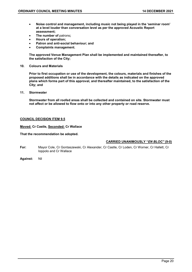- **Noise control and management, including music not being played in the 'seminar room' at a level louder than conversation level as per the approved Acoustic Report assessment;**
- **The number of** patrons**;**
- **Hours of operation;**
- **Patron and anti-social behaviour; and**
- **Complaints management.**

**The approved Venue Management Plan shall be implemented and maintained thereafter, to the satisfaction of the City;**

**10. Colours and Materials**

**Prior to first occupation or use of the development, the colours, materials and finishes of the proposed additions shall be in accordance with the details as indicated on the approved plans which forms part of this approval, and thereafter maintained, to the satisfaction of the City; and**

**11. Stormwater**

**Stormwater from all roofed areas shall be collected and contained on site. Stormwater must not affect or be allowed to flow onto or into any other property or road reserve.**

#### **COUNCIL DECISION ITEM 9.5**

#### **Moved: Cr Castle, Seconded: Cr Wallace**

#### **That the recommendation be adopted.**

- **For:** Mayor Cole, Cr Gontaszewski, Cr Alexander, Cr Castle, Cr Loden, Cr Worner, Cr Hallett, Cr Ioppolo and Cr Wallace
- **Against:** Nil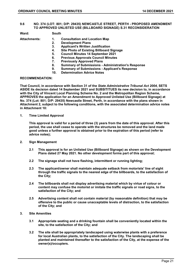#### <span id="page-20-0"></span>**9.6 NO. 374 (LOT: 801; D/P: 29435) NEWCASTLE STREET, PERTH - PROPOSED AMENDMENT TO APPROVED UNLISTED USE (BILLBOARD SIGNAGE) S.31 RECONSIDERATION**

**Ward: South**

- 
- 
- **Attachments: 1. Consultation and Location Map** 
	- **2. Development Plans**
	- **3. Applicant's Written Justification**
	- **4. Site Photo of Existing Billboard Signage**
	- **5. Council Minutes 14 September 2021**
	- **6. Previous Approvals Council Minutes**
	- **7. Previously Approved Plans**
	- **8. Summary of Submissions - Administration's Response**
	- **9. Summary of Submissions - Applicant's Response**
	- **10. Determination Advice Notes**

#### **RECOMMENDATION:**

**That Council, in accordance with Section 31 of the** *State Administrative Tribunal Act 2004***, SETS ASIDE its decision dated 14 September 2021 and SUBSITITUES its new decision to, in accordance with the City of Vincent Local Planning Scheme No. 2 and the Metropolitan Region Scheme, APPROVES the application for an Amendment to Approved Unlisted Use (Billboard Signage) at No. 374 (Lot: 801; D/P: 29435) Newcastle Street, Perth, in accordance with the plans shown in Attachment 2, subject to the following conditions, with the associated determination advice notes in Attachment 10:**

**1. Time Limited Approval**

**This approval is valid for a period of three (3) years from the date of this approval. After this period, the use shall cease to operate with the structures be removed and the land made good unless a further approval is obtained prior to the expiration of this period (refer to advice notes);**

- **2. Sign Management**
	- **2.1 This approval is for an Unlisted Use (Billboard Signage) as shown on the Development Plans dated 27 May 2021. No other development forms part of this approval;**
	- **2.2 The signage shall not have flashing, intermittent or running lighting;**
	- **2.3 The applicant/owner shall maintain adequate setback from motorists' line of sight through the traffic signals to the nearest edge of the billboards, to the satisfaction of the City;**
	- **2.4 The billboards shall not display advertising material which by virtue of colour or content may confuse the motorist or imitate the traffic signals or road signs, to the satisfaction of the City; and**
	- **2.5 Advertising content shall not contain material (by reasonable definition) that may be offensive to the public or cause unacceptable levels of distraction, to the satisfaction of the City; and**
- **3. Site Amenities**
	- **3.1 Appropriate seating and a drinking fountain shall be conveniently located within the site, to the satisfaction of the City; and**
	- **3.2 The site shall be appropriately landscaped using waterwise plants with a preference for local Australian plants, to the satisfaction of the City. The landscaping shall be planted and maintained thereafter to the satisfaction of the City, at the expense of the owner(s)/occupiers.**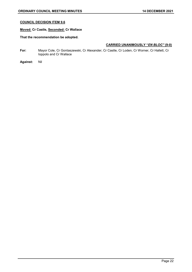# **COUNCIL DECISION ITEM 9.6**

# **Moved: Cr Castle, Seconded: Cr Wallace**

# **That the recommendation be adopted.**

- **For:** Mayor Cole, Cr Gontaszewski, Cr Alexander, Cr Castle, Cr Loden, Cr Worner, Cr Hallett, Cr Ioppolo and Cr Wallace
- **Against:** Nil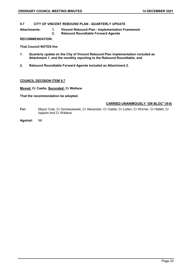#### <span id="page-22-0"></span>**9.7 CITY OF VINCENT REBOUND PLAN - QUARTERLY UPDATE**

**Attachments: 1. Vincent Rebound Plan - Implementation Framework 2. Rebound Roundtable Forward Agenda** 

#### **RECOMMENDATION:**

**That Council NOTES the:**

- **1. Quarterly update on the City of Vincent Rebound Plan implementation included as Attachment 1, and the monthly reporting to the Rebound Roundtable; and**
- **2. Rebound Roundtable Forward Agenda included as Attachment 2.**

#### **COUNCIL DECISION ITEM 9.7**

**Moved: Cr Castle, Seconded: Cr Wallace**

**That the recommendation be adopted.**

- **For:** Mayor Cole, Cr Gontaszewski, Cr Alexander, Cr Castle, Cr Loden, Cr Worner, Cr Hallett, Cr Ioppolo and Cr Wallace
- **Against:** Nil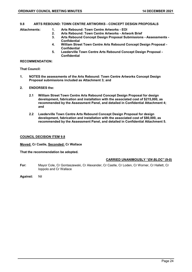#### <span id="page-23-0"></span>**9.8 ARTS REBOUND: TOWN CENTRE ARTWORKS - CONCEPT DESIGN PROPOSALS**

- **Attachments: 1. Arts Rebound: Town Centre Artworks - EOI** 
	- **2. Arts Rebound: Town Centre Artworks - Artwork Brief**
	- **3. Arts Rebound Concept Design Proposal Submissions - Assessments - Confidential**
	- **4. William Street Town Centre Arts Rebound Concept Design Proposal - Confidential**
	- **5. Leederville Town Centre Arts Rebound Concept Design Proposal - Confidential**

#### **RECOMMENDATION:**

**That Council:**

- **1. NOTES the assessments of the Arts Rebound: Town Centre Artworks Concept Design Proposal submissions included as Attachment 3; and**
- **2. ENDORSES the:**
	- **2.1 William Street Town Centre Arts Rebound Concept Design Proposal for design development, fabrication and installation with the associated cost of \$215,000, as recommended by the Assessment Panel, and detailed in Confidential Attachment 4; and**
	- **2.2 Leederville Town Centre Arts Rebound Concept Design Proposal for design development, fabrication and installation with the associated cost of \$80,000, as recommended by the Assessment Panel, and detailed in Confidential Attachment 5.**

#### **COUNCIL DECISION ITEM 9.8**

**Moved: Cr Castle, Seconded: Cr Wallace**

**That the recommendation be adopted.**

- **For:** Mayor Cole, Cr Gontaszewski, Cr Alexander, Cr Castle, Cr Loden, Cr Worner, Cr Hallett, Cr Ioppolo and Cr Wallace
- **Against:** Nil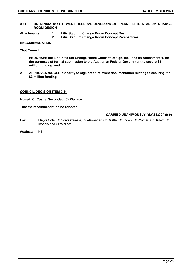<span id="page-24-0"></span>**9.11 BRITANNIA NORTH WEST RESERVE DEVELOPMENT PLAN - LITIS STADIUM CHANGE ROOM DESIGN**

- **Attachments: 1. Litis Stadium Change Room Concept Design** 
	- **2. Litis Stadium Change Room Concept Perspectives**

# **RECOMMENDATION:**

**That Council:**

- **1. ENDORSES the Litis Stadium Change Room Concept Design, included as Attachment 1, for the purposes of formal submission to the Australian Federal Government to secure \$3 million funding; and**
- **2. APPROVES the CEO authority to sign off on relevant documentation relating to securing the \$3 million funding.**

#### **COUNCIL DECISION ITEM 9.11**

**Moved: Cr Castle, Seconded: Cr Wallace**

**That the recommendation be adopted.**

- **For:** Mayor Cole, Cr Gontaszewski, Cr Alexander, Cr Castle, Cr Loden, Cr Worner, Cr Hallett, Cr Ioppolo and Cr Wallace
- **Against:** Nil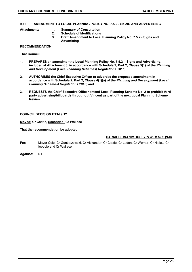# <span id="page-25-0"></span>**9.12 AMENDMENT TO LOCAL PLANNING POLICY NO. 7.5.2 - SIGNS AND ADVERTISING**

- **Attachments: 1. Summary of Consultation** 
	- **2. Schedule of Modifications**
	- **3. Draft Amendment to Local Planning Policy No. 7.5.2 - Signs and Advertising**

#### **RECOMMENDATION:**

**That Council:**

- **1. PREPARES an amendment to Local Planning Policy No. 7.5.2 – Signs and Advertising, included at Attachment 3, in accordance with Schedule 2, Part 2, Clause 5(1) of the** *Planning and Development (Local Planning Schemes) Regulations 2015***;**
- **2. AUTHORISES the Chief Executive Officer to advertise the proposed amendment in accordance with Schedule 2, Part 2, Clause 4(1)(a) of the** *Planning and Development (Local Planning Schemes) Regulations 2015***; and**
- **3. REQUESTS the Chief Executive Officer amend Local Planning Scheme No. 2 to prohibit third party advertising/billboards throughout Vincent as part of the next Local Planning Scheme Review.**

#### **COUNCIL DECISION ITEM 9.12**

#### **Moved: Cr Castle, Seconded: Cr Wallace**

**That the recommendation be adopted.**

- **For:** Mayor Cole, Cr Gontaszewski, Cr Alexander, Cr Castle, Cr Loden, Cr Worner, Cr Hallett, Cr Ioppolo and Cr Wallace
- **Against:** Nil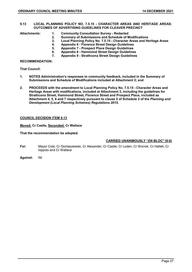#### <span id="page-26-0"></span>**9.13 LOCAL PLANNING POLICY NO. 7.5.15 - CHARACTER AREAS AND HERITAGE AREAS: OUTCOMES OF ADVERTISING GUIDELINES FOR CLEAVER PRECINCT**

- **Attachments: 1. Community Consultation Survey - Redacted** 
	- **2. Summary of Submissions and Schedule of Modifications**
	- **3. Local Planning Policy No. 7.5.15 - Character Areas and Heritage Areas**
	- **4. Appendix 6 - Florence Street Design Guidelines**
	- **5. Appendix 7 - Prospect Place Design Guidelines**
	- **6. Appendix 8 - Hammond Street Design Guidelines**
	- **7. Appendix 9 - Strathcona Street Design Guidelines**

**RECOMMENDATION:**

**That Council:**

- **1. NOTES Administration's responses to community feedback, included in the Summary of Submissions and Schedule of Modifications included at Attachment 2; and**
- **2. PROCEEDS with the amendment to Local Planning Policy No. 7.5.15 - Character Areas and Heritage Areas with modifications, included at Attachment 3, including the guidelines for Strathcona Street, Hammond Street, Florence Street and Prospect Place, included as Attachment 4, 5, 6 and 7 respectively pursuant to clause 5 of Schedule 2 of the** *Planning and Development (Local Planning Schemes) Regulations 2015***.**

#### **COUNCIL DECISION ITEM 9.13**

#### **Moved: Cr Castle, Seconded: Cr Wallace**

#### **That the recommendation be adopted.**

- **For:** Mayor Cole, Cr Gontaszewski, Cr Alexander, Cr Castle, Cr Loden, Cr Worner, Cr Hallett, Cr Ioppolo and Cr Wallace
- **Against:** Nil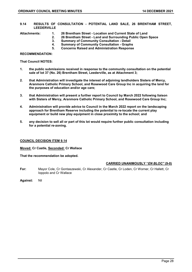<span id="page-27-0"></span>**9.14 RESULTS OF CONSULTATION - POTENTIAL LAND SALE, 26 BRENTHAM STREET, LEEDERVILLE**

- **Attachments: 1. 26 Brentham Street - Location and Current State of Land** 
	- **2. 26 Brentham Street - Land and Surrounding Public Open Space** 
		- **3. Summary of Community Consultation - Detail**
		- **4. Summary of Community Consultation - Graphs** 
			- **5. Concerns Raised and Administration Response**

**RECOMMENDATION:**

**That Council NOTES:**

- **1. the public submissions received in response to the community consultation on the potential sale of lot 37 (No. 26) Brentham Street, Leederville, as at Attachment 3;**
- **2. that Administration will investigate the interest of adjoining landholders Sisters of Mercy, Aranmore Catholic Primary School, and Rosewood Care Group Inc in acquiring the land for the purposes of education and/or age care;**
- **3. that Administration will present a further report to Council by March 2022 following liaison with Sisters of Mercy, Aranmore Catholic Primary School, and Rosewood Care Group Inc;**
- **4. Administration will provide advice to Council in the March 2022 report on the landscaping approach for Brentham Reserve including the potential to re-locate the current play equipment or build new play equipment in close proximity to the school; and**
- **5. any decision to sell all or part of this lot would require further public consultation including for a potential re-zoning.**

#### **COUNCIL DECISION ITEM 9.14**

**Moved: Cr Castle, Seconded: Cr Wallace**

**That the recommendation be adopted.**

#### **CARRIED UNANIMOUSLY "***EN BLOC"* **(9-0)**

**For:** Mayor Cole, Cr Gontaszewski, Cr Alexander, Cr Castle, Cr Loden, Cr Worner, Cr Hallett, Cr Ioppolo and Cr Wallace

**Against:** Nil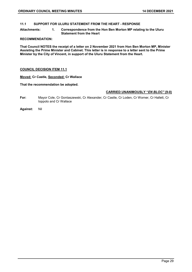<span id="page-28-0"></span>**11.1 SUPPORT FOR ULURU STATEMENT FROM THE HEART - RESPONSE**

**Attachments: 1. Correspondence from the Hon Ben Morton MP relating to the Uluru Statement from the Heart** 

#### **RECOMMENDATION:**

**That Council NOTES the receipt of a letter on 2 November 2021 from Hon Ben Morton MP, Minister Assisting the Prime Minister and Cabinet. This letter is in response to a letter sent to the Prime Minister by the City of Vincent, in support of the Uluru Statement from the Heart.**

#### **COUNCIL DECISION ITEM 11.1**

#### **Moved: Cr Castle, Seconded: Cr Wallace**

#### **That the recommendation be adopted.**

- **For:** Mayor Cole, Cr Gontaszewski, Cr Alexander, Cr Castle, Cr Loden, Cr Worner, Cr Hallett, Cr Ioppolo and Cr Wallace
- **Against:** Nil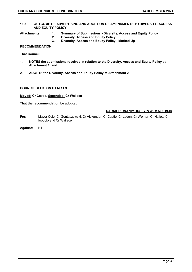#### <span id="page-29-0"></span>**11.3 OUTCOME OF ADVERTISING AND ADOPTION OF AMENDMENTS TO DIVERSITY, ACCESS AND EQUITY POLICY**

- **Attachments: 1. Summary of Submissions - Diversity, Access and Equity Policy** 
	- **2. Diversity, Access and Equity Policy**
	- **3. Diversity, Access and Equity Policy - Marked Up**

## **RECOMMENDATION:**

**That Council:**

- **1. NOTES the submissions received in relation to the Diversity, Access and Equity Policy at Attachment 1; and**
- **2. ADOPTS the Diversity, Access and Equity Policy at Attachment 2.**

#### **COUNCIL DECISION ITEM 11.3**

**Moved: Cr Castle, Seconded: Cr Wallace**

#### **That the recommendation be adopted.**

- **For:** Mayor Cole, Cr Gontaszewski, Cr Alexander, Cr Castle, Cr Loden, Cr Worner, Cr Hallett, Cr Ioppolo and Cr Wallace
- **Against:** Nil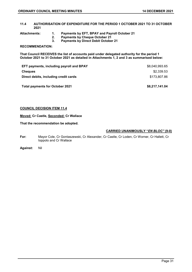- <span id="page-30-0"></span>**11.4 AUTHORISATION OF EXPENDITURE FOR THE PERIOD 1 OCTOBER 2021 TO 31 OCTOBER 2021**
- 
- **Attachments: 1. Payments by EFT, BPAY and Payroll October 21** 
	- **2. Payments by Cheque October 21** 
		- **3. Payments by Direct Debit October 21**

# **RECOMMENDATION:**

**That Council RECEIVES the list of accounts paid under delegated authority for the period 1 October 2021 to 31 October 2021 as detailed in Attachments 1, 2 and 3 as summarised below:**

| <b>EFT payments, including payroll and BPAY</b> | \$8.040.993.65 |
|-------------------------------------------------|----------------|
| Cheques                                         | \$2,339.53     |
| Direct debits, including credit cards           | \$173.807.86   |

Total payments for October 2021 **68,217,141.04** 

#### **COUNCIL DECISION ITEM 11.4**

**Moved: Cr Castle, Seconded: Cr Wallace**

#### **That the recommendation be adopted.**

- **For:** Mayor Cole, Cr Gontaszewski, Cr Alexander, Cr Castle, Cr Loden, Cr Worner, Cr Hallett, Cr Ioppolo and Cr Wallace
- **Against:** Nil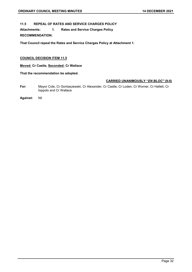# <span id="page-31-0"></span>**11.5 REPEAL OF RATES AND SERVICE CHARGES POLICY**

**Attachments: 1. Rates and Service Charges Policy RECOMMENDATION:**

**That Council repeal the Rates and Service Charges Policy at Attachment 1.**

# **COUNCIL DECISION ITEM 11.5**

**Moved: Cr Castle, Seconded: Cr Wallace**

**That the recommendation be adopted.**

# **CARRIED UNANIMOUSLY "***EN BLOC"* **(9-0)**

**For:** Mayor Cole, Cr Gontaszewski, Cr Alexander, Cr Castle, Cr Loden, Cr Worner, Cr Hallett, Cr Ioppolo and Cr Wallace

**Against:** Nil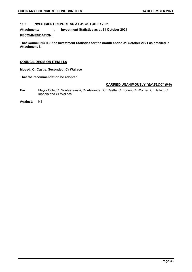# <span id="page-32-0"></span>**11.6 INVESTMENT REPORT AS AT 31 OCTOBER 2021**

**Attachments: 1. Investment Statistics as at 31 October 2021** 

#### **RECOMMENDATION:**

**That Council NOTES the Investment Statistics for the month ended 31 October 2021 as detailed in Attachment 1.**

#### **COUNCIL DECISION ITEM 11.6**

**Moved: Cr Castle, Seconded: Cr Wallace**

# **That the recommendation be adopted.**

- **For:** Mayor Cole, Cr Gontaszewski, Cr Alexander, Cr Castle, Cr Loden, Cr Worner, Cr Hallett, Cr Ioppolo and Cr Wallace
- **Against:** Nil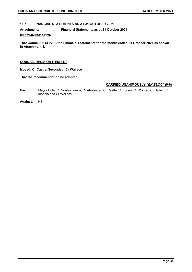# <span id="page-33-0"></span>**11.7 FINANCIAL STATEMENTS AS AT 31 OCTOBER 2021**

**Attachments: 1. Financial Statements as at 31 October 2021** 

#### **RECOMMENDATION:**

**That Council RECEIVES the Financial Statements for the month ended 31 October 2021 as shown in Attachment 1.**

#### **COUNCIL DECISION ITEM 11.7**

**Moved: Cr Castle, Seconded: Cr Wallace**

# **That the recommendation be adopted.**

- **For:** Mayor Cole, Cr Gontaszewski, Cr Alexander, Cr Castle, Cr Loden, Cr Worner, Cr Hallett, Cr Ioppolo and Cr Wallace
- **Against:** Nil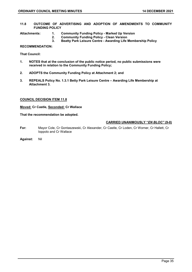<span id="page-34-0"></span>**11.8 OUTCOME OF ADVERTISING AND ADOPTION OF AMENDMENTS TO COMMUNITY FUNDING POLICY**

- **Attachments: 1. Community Funding Policy - Marked Up Version** 
	- **2. Community Funding Policy - Clean Version**
	- **3. Beatty Park Leisure Centre - Awarding Life Membership Policy**

# **RECOMMENDATION:**

**That Council:**

- **1. NOTES that at the conclusion of the public notice period, no public submissions were received in relation to the Community Funding Policy;**
- **2. ADOPTS the Community Funding Policy at Attachment 2; and**
- **3. REPEALS Policy No. 1.3.1 Betty Park Leisure Centre – Awarding Life Membership at Attachment 3.**

#### **COUNCIL DECISION ITEM 11.8**

**Moved: Cr Castle, Seconded: Cr Wallace**

**That the recommendation be adopted.**

- **For:** Mayor Cole, Cr Gontaszewski, Cr Alexander, Cr Castle, Cr Loden, Cr Worner, Cr Hallett, Cr Ioppolo and Cr Wallace
- **Against:** Nil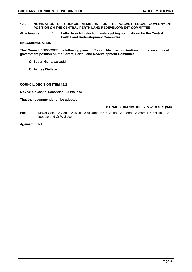- <span id="page-35-0"></span>**12.2 NOMINATION OF COUNCIL MEMBERS FOR THE VACANT LOCAL GOVERNMENT POSITION ON THE CENTRAL PERTH LAND REDEVELOPMENT COMMITTEE**
- **Attachments: 1. Letter from Minister for Lands seeking nominations for the Central Perth Land Redevelopment Committee**

#### **RECOMMENDATION:**

**That Council ENDORSES the following panel of Council Member nominations for the vacant local government position on the Central Perth Land Redevelopment Committee:**

- **Cr Susan Gontaszewski**
- **Cr Ashley Wallace**

#### **COUNCIL DECISION ITEM 12.2**

**Moved: Cr Castle, Seconded: Cr Wallace**

#### **That the recommendation be adopted.**

- **For:** Mayor Cole, Cr Gontaszewski, Cr Alexander, Cr Castle, Cr Loden, Cr Worner, Cr Hallett, Cr Ioppolo and Cr Wallace
- **Against:** Nil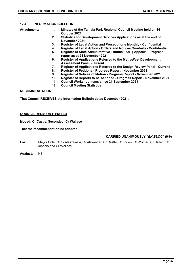## **12.4 INFORMATION BULLETIN**

- **Attachments: 1. Minutes of the Tamala Park Regional Council Meeting held on 14 October 2021** 
	- **2. Statistics for Development Services Applications as at the end of November 2021**
	- **3. Register of Legal Action and Prosecutions Monthly - Confidential**
	- **4. Register of Legal Action - Orders and Notices Quarterly - Confidential**
	- **5. Register of State Administrative Tribunal (SAT) Appeals - Progress report as at 24 November 2021**
	- **6. Register of Applications Referred to the MetroWest Development Assessment Panel - Current**
	- **7. Register of Applications Referred to the Design Review Panel - Current**
	- **8. Register of Petitions - Progress Report - November 2021**
	- **9. Register of Notices of Motion - Progress Report - November 2021**
	- **10. Register of Reports to be Actioned - Progress Report - November 2021**
	- **11. Council Workshop Items since 21 September 2021**
	- **12. Council Meeting Statistics**

## **RECOMMENDATION:**

**That Council RECEIVES the Information Bulletin dated December 2021.**

## **COUNCIL DECISION ITEM 12.4**

## **Moved: Cr Castle, Seconded: Cr Wallace**

### **That the recommendation be adopted.**

## **CARRIED UNANIMOUSLY "***EN BLOC"* **(9-0)**

- **For:** Mayor Cole, Cr Gontaszewski, Cr Alexander, Cr Castle, Cr Loden, Cr Worner, Cr Hallett, Cr Ioppolo and Cr Wallace
- **Against:** Nil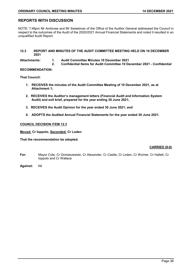## **REPORTS WITH DISCUSSION**

NOTE: 7:48pm Mr Ambrose and Mr Sweetman of the Office of the Auditor General addressed the Council in respect to the outcomes of the Audit of the 2020/2021 Annual Financial Statements and noted it resulted in an unqualified Audit Report.

#### **12.3 REPORT AND MINUTES OF THE AUDIT COMMITTEE MEETING HELD ON 10 DECEMBER 2021**

**Attachments: 1. Audit Committee Minutes 10 December 2021** 

**2. Confidential Items for Audit Committee 10 December 2021 - Confidential** 

#### **RECOMMENDATION:**

**That Council:**

- **1. RECEIVES the minutes of the Audit Committee Meeting of 10 December 2021, as at Attachment 1;**
- **2. RECEIVES the Auditor's management letters (Financial Audit and Information System Audit) and exit brief, prepared for the year ending 30 June 2021;**
- **3. RECEIVES the Audit Opinion for the year ended 30 June 2021; and**
- **4. ADOPTS the Audited Annual Financial Statements for the year ended 30 June 2021.**

#### **COUNCIL DECISION ITEM 12.3**

**Moved: Cr Ioppolo, Seconded: Cr Loden**

**That the recommendation be adopted.**

#### **CARRIED (9-0)**

- **For:** Mayor Cole, Cr Gontaszewski, Cr Alexander, Cr Castle, Cr Loden, Cr Worner, Cr Hallett, Cr Ioppolo and Cr Wallace
- **Against:** Nil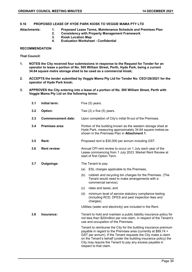## **9.16 PROPOSED LEASE OF HYDE PARK KIOSK TO VEGGIE MAMA PTY LTD**

- **Attachments: 1. Proposed Lease Terms, Maintenance Schedule and Premises Plan** 
	- **2. Consistency with Property Management Framework**
	- **3. Kiosk Location Map**
	- **4. Evaluation Worksheet - Confidential**

## **RECOMMENDATION**

**That Council:**

- **1. NOTES the City received four submissions in response to the Request for Tender for an operator to lease a portion of No. 505 William Street, Perth, Hyde Park, being a current 34.64 square metre storage shed to be used as a commercial kiosk;**
- **2. ACCEPTS the tender submitted by Veggie Mama Pty Ltd for Tender No. CEO126/2021 for the operator of Hyde Park kiosk;**
- **3. APPROVES the City entering into a lease of a portion of No. 505 William Street, Perth with Veggie Mama Pty Ltd on the following terms:**

| 3.1 | Initial term:             | Five (5) years.                                                                                                                                                                                                                                                                                                                                             |
|-----|---------------------------|-------------------------------------------------------------------------------------------------------------------------------------------------------------------------------------------------------------------------------------------------------------------------------------------------------------------------------------------------------------|
| 3.2 | Option:                   | Two $(2)$ x five $(5)$ years.                                                                                                                                                                                                                                                                                                                               |
| 3.3 | <b>Commencement date:</b> | Upon completion of City's initial fit-out of the Premises.                                                                                                                                                                                                                                                                                                  |
| 3.4 | Premises area:            | Portion of the building known as the western storage shed at<br>Hyde Park, measuring approximately 34.64 square metres as<br>shown in the Premises Plan in Attachment 1.                                                                                                                                                                                    |
| 3.5 | Rent:                     | Proposed rent is \$30,000 per annum including GST.                                                                                                                                                                                                                                                                                                          |
| 3.6 | <b>Rent review:</b>       | Annual CPI rent review to occur on 1 July each year of the<br>Lease commencing from 1 July 2023. Market Rent Review at<br>start of first Option Term.                                                                                                                                                                                                       |
| 3.7 | Outgoings:                | The Tenant to pay:                                                                                                                                                                                                                                                                                                                                          |
|     |                           | ESL charges applicable to the Premises;<br>(a)                                                                                                                                                                                                                                                                                                              |
|     |                           | (b)<br>rubbish and recycling bin charges for the Premises. (The<br>Tenant would need to make arrangements with a<br>commercial service);                                                                                                                                                                                                                    |
|     |                           | (c)<br>rates and taxes; and                                                                                                                                                                                                                                                                                                                                 |
|     |                           | minimum level of service statutory compliance testing<br>(d)<br>(including RCD, DFES and pest inspection fees and<br>charges).                                                                                                                                                                                                                              |
|     |                           | Utilities (water and electricity) are included in the Rent.                                                                                                                                                                                                                                                                                                 |
| 3.8 | Insurance:                | Tenant to hold and maintain a public liability insurance policy for<br>not less than \$20million per one claim, in respect of the Tenant's<br>use and occupation of the Premises.                                                                                                                                                                           |
|     |                           | Tenant to reimburse the City for the building insurance premium<br>payable in regard to the Premises area (currently at \$89.74 +<br>GST per annum). If the Tenant requests the City make a claim<br>on the Tenant's behalf (under the building insurance policy) the<br>City may require the Tenant to pay any excess payable in<br>respect to that claim. |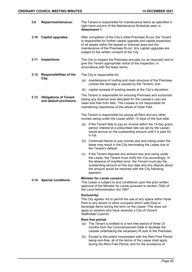| 3.9  | Repair/maintenance:                                     | The Tenant is responsible for maintenance items as specified in<br>right hand column of the Maintenance Schedule seen in<br>Attachment 1.                                                                                                                                                                            |  |
|------|---------------------------------------------------------|----------------------------------------------------------------------------------------------------------------------------------------------------------------------------------------------------------------------------------------------------------------------------------------------------------------------|--|
| 3.10 | <b>Capital upgrades:</b>                                | After completion of the City's initial Premises fit-out, the Tenant<br>is responsible for further capital upgrade and capital expansion<br>of all assets within the leased or licenced area and the<br>maintenance of the Premises fit-out. Any capital upgrades are<br>subject to the written consent of the City.  |  |
| 3.11 | Inspections:                                            | The City to inspect the Premises annually (or as required) and to<br>give the Tenant appropriate notice of the inspection, in<br>accordance with the lease terms.                                                                                                                                                    |  |
| 3.12 | <b>Responsibilities of the</b><br>City:                 | The City is responsible for:                                                                                                                                                                                                                                                                                         |  |
|      |                                                         | maintenance of roofing and main structure of the Premises<br>(a)<br>(unless the damage is caused by the Tenant); and                                                                                                                                                                                                 |  |
|      |                                                         | capital renewal of existing assets at the City's discretion.<br>(b)                                                                                                                                                                                                                                                  |  |
| 3.13 | <b>Obligations of Tenant</b><br>and default provisions: | The Tenant is responsible for ensuring Premises and surrounds<br>(being any external area allocated for the Lessee's use) are<br>clean and free from litter. The Lessee is not responsible for<br>maintaining cleanliness of the whole of Hyde Park.                                                                 |  |
|      |                                                         | The Tenant is responsible for paying all Rent and any other<br>monies owing under the Lease within 14 days of the due date:                                                                                                                                                                                          |  |
|      |                                                         | If the Tenant fails to pay an invoice within the 14-day grace<br>(a)<br>period, interest at a prescribed rate (as set by the Lease)<br>would accrue on the outstanding amount until it is paid for<br>in full.                                                                                                       |  |
|      |                                                         | Continued failure to pay monies due and owing under the<br>(b)<br>lease may result in the City terminating the Lease due to<br>the Tenant's default.                                                                                                                                                                 |  |
|      |                                                         | If the Tenant disputes any amount due and owing under<br>(c)<br>the Lease, the Tenant must notify the City accordingly. In<br>the absence of manifest error, the Tenant must pay the<br>outstanding amount on the due date and any dispute about<br>the amount would be resolved with the City following<br>payment. |  |
| 3.14 | <b>Special conditions:</b>                              | <b>Minister for Lands consent:</b><br>This Lease is subject to and conditional upon the prior written<br>approval of the Minister for Lands pursuant to section 75(6) of<br>the Land Administration Act 1997.                                                                                                        |  |
|      |                                                         | <b>Exclusivity:</b><br>The City agrees not to permit the use of any space within Hyde<br>Park to any tenant or other occupant which sells food or<br>beverage items during the term on the Lease. This does not<br>apply to vendors who have received a City of Vincent<br>Stallholder's permit.                     |  |
|      |                                                         | Rent free period:                                                                                                                                                                                                                                                                                                    |  |
|      |                                                         | The Tenant is entitled to a rent free period of three (3)<br>(a)<br>months from the Commencement Date to facilitate the<br>Lessee undertaking the necessary fit outs to the Premises.                                                                                                                                |  |
|      |                                                         |                                                                                                                                                                                                                                                                                                                      |  |

(b) Except to the extent inconsistent with the Rent Free Period being rent-free, all of the terms of the Lease shall apply during the Rent Free Period, and for the avoidance of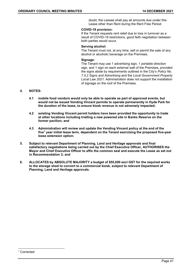doubt, the Lessee shall pay all amounts due under this Lease other than Rent during the Rent Free Period.

## **COVID-19 provision:**

If the Tenant requests rent relief due to loss in turnover as a result of COVID-19 restrictions, good faith negotiation between both parties would occur.

## **Serving alcohol:**

The Tenant must not, at any time, sell or permit the sale of any alcohol or alcoholic beverage on the Premises.

#### **Signage:**

The Tenant may use 1 advertising sign, 1 portable direction sign, and 1 sign on each external wall of the Premises, provided the signs abide by requirements outlined in the City's *Policy No. 7.5.2 Signs and Advertising* and the *Local Government Property Local Law 2021.* Administration does not support the installation of signage on the roof of the Premises.

## **4. NOTES:**

- **4.1 mobile food vendors would only be able to operate as part of approved events, but would not be issued Vending Vincent permits to operate permanently in Hyde Park for the duration of the lease, to ensure kiosk revenue is not adversely impacted;**
- **4.2 existing Vending Vincent permit holders have been provided the opportunity to trade at other locations including trialling a new powered site in Banks Reserve on the former pavilion; and**
- **4.3 Administration will review and update the Vending Vincent policy at the end of the five[1](#page-40-0) year initial lease term, dependent on the Tenant exercising the proposed five-year lease extension option;**
- **5. Subject to relevant Department of Planning, Land and Heritage approvals and final satisfactory negotiations being carried out by the Chief Executive Officer, AUTHORISES the Mayor and Chief Executive Officer to affix the common seal and execute the Lease as set out in Recommendation 3; and**
- **6. ALLOCATES by ABSOLUTE MAJORITY a budget of \$55,000 excl GST for the required works to the storage shed to convert to a commercial kiosk, subject to relevant Department of Planning, Land and Heritage approvals.**

<span id="page-40-0"></span> <sup>1</sup> Corrected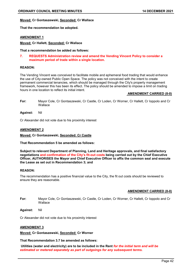#### **Moved: Cr Gontaszewski, Seconded: Cr Wallace**

**That the recommendation be adopted.**

#### **AMENDMENT 1**

**Moved: Cr Hallett, Seconded: Cr Wallace** 

**That a recommendation be added as follows:**

#### **7. REQUESTS Administration review and amend the Vending Vincent Policy to consider a maximum period of trade within a single location.**

## **REASON:**

The Vending Vincent was conceived to facilitate mobile and ephemeral food trading that would enhance the use of City-owned Public Open Space. The policy was not conceived with the intent to create permanent commercial tenancies, which should be managed through the City's property management framework, however this has been its effect. The policy should be amended to impose a limit on trading hours in one location to reflect its initial intent.

#### **AMENDMENT CARRIED (8-0)**

- **For:** Mayor Cole, Cr Gontaszewski, Cr Castle, Cr Loden, Cr Worner, Cr Hallett, Cr Ioppolo and Cr **Wallace**
- **Against:** Nil

Cr Alexander did not vote due to his proximity interest

#### **AMENDMENT 2**

#### **Moved: Cr Gontaszewski, Seconded: Cr Castle**

**That Recommendation 5 be amended as follows:**

**Subject to relevant Department of Planning, Land and Heritage approvals, and final satisfactory negotiations and confirmation of the City's fit-out costs being carried out by the Chief Executive Officer, AUTHORISES the Mayor and Chief Executive Officer to affix the common seal and execute the Lease as set out in Recommendation 3; and**

#### **REASON:**

The recommendation has a positive financial value to the City, the fit out costs should be reviewed to ensure they are reasonable.

#### **AMENDMENT CARRIED (8-0)**

- **For:** Mayor Cole, Cr Gontaszewski, Cr Castle, Cr Loden, Cr Worner, Cr Hallett, Cr Ioppolo and Cr **Wallace**
- **Against:** Nil

Cr Alexander did not vote due to his proximity interest

#### **AMENDMENT 3**

**Moved: Cr Gontaszewski, Seconded: Cr Worner**

**That Recommendation 3.7 be amended as follows:**

**Utilities (water and electricity) are to be included in the Rent** *for the initial term and will be estimated or metered separately as part of outgoings for any subsequent terms.*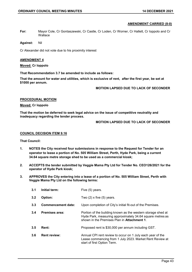#### **AMENDMENT CARRIED (8-0)**

**For:** Mayor Cole, Cr Gontaszewski, Cr Castle, Cr Loden, Cr Worner, Cr Hallett, Cr Ioppolo and Cr Wallace

**Against:** Nil

Cr Alexander did not vote due to his proximity interest

#### **AMENDMENT 4**

#### **Moved: Cr Ioppolo**

**That Recommendation 3.7 be amended to include as follows:**

**That the amount for water and utilities, which is exclusive of rent, after the first year, be set at \$1000 per annum.**

 **MOTION LAPSED DUE TO LACK OF SECONDER**

#### **PROCEDURAL MOTION**

**Moved: Cr Ioppolo**

**That the motion be deferred to seek legal advice on the issue of competitive neutrality and inadequacy regarding the tender process.**

 **MOTION LAPSED DUE TO LACK OF SECONDER**

#### **COUNCIL DECISION ITEM 9.16**

**That Council:**

- **1. NOTES the City received four submissions in response to the Request for Tender for an operator to lease a portion of No. 505 William Street, Perth, Hyde Park, being a current 34.64 square metre storage shed to be used as a commercial kiosk;**
- **2. ACCEPTS the tender submitted by Veggie Mama Pty Ltd for Tender No. CEO126/2021 for the operator of Hyde Park kiosk;**
- **3. APPROVES the City entering into a lease of a portion of No. 505 William Street, Perth with Veggie Mama Pty Ltd on the following terms:**

| 3.1 | Initial term:             | Five (5) years.                                                                                                                                                          |
|-----|---------------------------|--------------------------------------------------------------------------------------------------------------------------------------------------------------------------|
| 3.2 | Option:                   | Two $(2)$ x five $(5)$ years.                                                                                                                                            |
| 3.3 | <b>Commencement date:</b> | Upon completion of City's initial fit-out of the Premises.                                                                                                               |
| 3.4 | <b>Premises area:</b>     | Portion of the building known as the western storage shed at<br>Hyde Park, measuring approximately 34.64 square metres as<br>shown in the Premises Plan in Attachment 1. |
| 3.5 | Rent:                     | Proposed rent is \$30,000 per annum including GST.                                                                                                                       |
| 3.6 | <b>Rent review:</b>       | Annual CPI rent review to occur on 1 July each year of the<br>Lease commencing from 1 July 2023. Market Rent Review at<br>start of first Option Term.                    |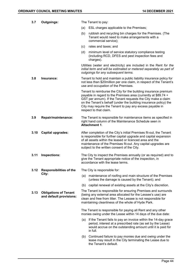| 3.7  | <b>Outgoings:</b>                                       | The Tenant to pay:                                                                                                                                                                                                                                                                                                                                          |
|------|---------------------------------------------------------|-------------------------------------------------------------------------------------------------------------------------------------------------------------------------------------------------------------------------------------------------------------------------------------------------------------------------------------------------------------|
|      |                                                         | (a)<br>ESL charges applicable to the Premises;                                                                                                                                                                                                                                                                                                              |
|      |                                                         | (b)<br>rubbish and recycling bin charges for the Premises. (The<br>Tenant would need to make arrangements with a<br>commercial service);                                                                                                                                                                                                                    |
|      |                                                         | rates and taxes; and<br>(c)                                                                                                                                                                                                                                                                                                                                 |
|      |                                                         | minimum level of service statutory compliance testing<br>(d)<br>(including RCD, DFES and pest inspection fees and<br>charges).                                                                                                                                                                                                                              |
|      |                                                         | Utilities (water and electricity) are included in the Rent for the<br>initial term and will be estimated or metered separately as part of<br>outgoings for any subsequent terms.                                                                                                                                                                            |
| 3.8  | Insurance:                                              | Tenant to hold and maintain a public liability insurance policy for<br>not less than \$20 million per one claim, in respect of the Tenant's<br>use and occupation of the Premises.                                                                                                                                                                          |
|      |                                                         | Tenant to reimburse the City for the building insurance premium<br>payable in regard to the Premises area (currently at \$89.74 +<br>GST per annum). If the Tenant requests the City make a claim<br>on the Tenant's behalf (under the building insurance policy) the<br>City may require the Tenant to pay any excess payable in<br>respect to that claim. |
| 3.9  | Repair/maintenance:                                     | The Tenant is responsible for maintenance items as specified in<br>right hand column of the Maintenance Schedule seen in<br><b>Attachment 1.</b>                                                                                                                                                                                                            |
| 3.10 | <b>Capital upgrades:</b>                                | After completion of the City's initial Premises fit-out, the Tenant<br>is responsible for further capital upgrade and capital expansion<br>of all assets within the leased or licenced area and the<br>maintenance of the Premises fit-out. Any capital upgrades are<br>subject to the written consent of the City.                                         |
| 3.11 | Inspections:                                            | The City to inspect the Premises annually (or as required) and to<br>give the Tenant appropriate notice of the inspection, in<br>accordance with the lease terms.                                                                                                                                                                                           |
| 3.12 | <b>Responsibilities of the</b><br>City:                 | The City is responsible for:                                                                                                                                                                                                                                                                                                                                |
|      |                                                         | maintenance of roofing and main structure of the Premises<br>(a)<br>(unless the damage is caused by the Tenant); and                                                                                                                                                                                                                                        |
|      |                                                         | (b) capital renewal of existing assets at the City's discretion.                                                                                                                                                                                                                                                                                            |
| 3.13 | <b>Obligations of Tenant</b><br>and default provisions: | The Tenant is responsible for ensuring Premises and surrounds<br>(being any external area allocated for the Lessee's use) are<br>clean and free from litter. The Lessee is not responsible for<br>maintaining cleanliness of the whole of Hyde Park.                                                                                                        |
|      |                                                         | The Tenant is responsible for paying all Rent and any other<br>monies owing under the Lease within 14 days of the due date:                                                                                                                                                                                                                                 |
|      |                                                         | (a) If the Tenant fails to pay an invoice within the 14-day grace<br>period, interest at a prescribed rate (as set by the Lease)<br>would accrue on the outstanding amount until it is paid for<br>in full.                                                                                                                                                 |
|      |                                                         | Continued failure to pay monies due and owing under the<br>(b)<br>lease may result in the City terminating the Lease due to<br>the Tenant's default.                                                                                                                                                                                                        |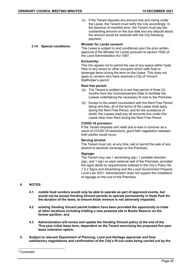(c) If the Tenant disputes any amount due and owing under the Lease, the Tenant must notify the City accordingly. In the absence of manifest error, the Tenant must pay the outstanding amount on the due date and any dispute about the amount would be resolved with the City following payment.

# **3.14 Special conditions: Minister for Lands consent:**

This Lease is subject to and conditional upon the prior written approval of the Minister for Lands pursuant to section 75(6) of the *Land Administration Act 1997*.

## **Exclusivity:**

The City agrees not to permit the use of any space within Hyde Park to any tenant or other occupant which sells food or beverage items during the term on the Lease. This does not apply to vendors who have received a City of Vincent Stallholder's permit.

## **Rent free period:**

- (a) The Tenant is entitled to a rent free period of three (3) months from the Commencement Date to facilitate the Lessee undertaking the necessary fit outs to the Premises.
- (b) Except to the extent inconsistent with the Rent Free Period being rent-free, all of the terms of the Lease shall apply during the Rent Free Period, and for the avoidance of doubt, the Lessee shall pay all amounts due under this Lease other than Rent during the Rent Free Period.

#### **COVID-19 provision:**

If the Tenant requests rent relief due to loss in turnover as a result of COVID-19 restrictions, good faith negotiation between both parties would occur.

#### **Serving alcohol:**

The Tenant must not, at any time, sell or permit the sale of any alcohol or alcoholic beverage on the Premises.

#### **Signage:**

The Tenant may use 1 advertising sign, 1 portable direction sign, and 1 sign on each external wall of the Premises, provided the signs abide by requirements outlined in the City's *Policy No. 7.5.2 Signs and Advertising* and the *Local Government Property Local Law 2021.* Administration does not support the installation of signage on the roof of the Premises.

## **4. NOTES:**

- **4.1 mobile food vendors would only be able to operate as part of approved events, but would not be issued Vending Vincent permits to operate permanently in Hyde Park for the duration of the lease, to ensure kiosk revenue is not adversely impacted;**
- **4.2 existing Vending Vincent permit holders have been provided the opportunity to trade at other locations including trialling a new powered site in Banks Reserve on the former pavilion; and**
- **4.3 Administration will review and update the Vending Vincent policy at the end of the [2f](#page-44-0)ive-year initial lease term, dependent on the Tenant exercising the proposed five-year lease extension option;**
- **5. Subject to relevant Department of Planning, Land and Heritage approvals and final satisfactory negotiations and confirmation of the City's fit-out costs being carried out by the**

<span id="page-44-0"></span> <sup>2</sup> Corrected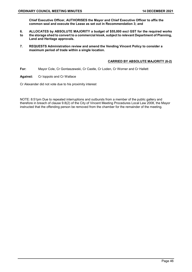**Chief Executive Officer, AUTHORISES the Mayor and Chief Executive Officer to affix the common seal and execute the Lease as set out in Recommendation 3; and**

- **6. ALLOCATES by ABSOLUTE MAJORITY a budget of \$55,000 excl GST for the required works to the storage shed to convert to a commercial kiosk, subject to relevant Department of Planning, Land and Heritage approvals.**
- **7. REQUESTS Administration review and amend the Vending Vincent Policy to consider a maximum period of trade within a single location.**

## **CARRIED BY ABSOLUTE MAJORITY (6-2)**

- **For:** Mayor Cole, Cr Gontaszewski, Cr Castle, Cr Loden, Cr Worner and Cr Hallett
- **Against:** Cr Ioppolo and Cr Wallace

Cr Alexander did not vote due to his proximity interest

NOTE: 8:51pm Due to repeated interruptions and outbursts from a member of the public gallery and therefore in breach of clause 9.8(2) of the City of Vincent Meeting Procedures Local Law 2008, the Mayor instructed that the offending person be removed from the chamber for the remainder of the meeting.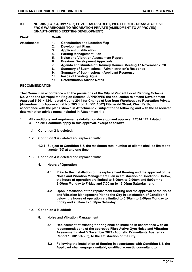#### **9.1 NO. 305 (LOT: 4, D/P: 1602) FITZGERALD STREET, WEST PERTH - CHANGE OF USE FROM WAREHOUSE TO RECREATION PRIVATE (AMENDMENT TO APPROVED) (UNAUTHORISED EXISTING DEVELOPMENT)**

| Ward:               | South |                                                                 |
|---------------------|-------|-----------------------------------------------------------------|
| <b>Attachments:</b> | 1.    | <b>Consultation and Location Map</b>                            |
|                     | 2.    | <b>Development Plans</b>                                        |
|                     | 3.    | <b>Applicant Justification</b>                                  |
|                     | 4.    | <b>Parking Management Plan</b>                                  |
|                     | 5.    | <b>Noise and Vibration Assessment Report</b>                    |
|                     | 6.    | <b>Previous Development Approvals</b>                           |
|                     | 7.    | Agenda and Minutes of Ordinary Council Meeting 17 November 2020 |
|                     | 8.    | <b>Summary of Submissions - Administration's Response</b>       |
|                     | 9.    | <b>Summary of Submissions - Applicant Response</b>              |
|                     | 10.   | <b>Image of Existing Signs</b>                                  |
|                     | 11.   | <b>Determination Advice Notes</b>                               |
| ----------------    |       |                                                                 |

#### **RECOMMENDATION:**

**That Council, in accordance with the provisions of the City of Vincent Local Planning Scheme No. 2 and the Metropolitan Region Scheme, APPROVES the application to amend Development Approval 5.2014.124.1 dated 4 June 2014 for Change of Use from Warehouse to Recreation Private (Amendment to Approved) at No. 305 (Lot: 4; D/P: 1602) Fitzgerald Street, West Perth, in accordance with the plans shown in Attachment 2, subject to the following and with the associated determination advice notes included in Attachment 11:**

- **1. All conditions and requirements detailed on development approval 5.2014.124.1 dated 4 June 2014 continue apply to this approval, except as follows:**
	- **1.1 Condition 2 is deleted;**
	- **1.2 Condition 3 is deleted and replaced with:**
		- **1.2.1 Subject to Condition 8.5, the maximum total number of clients shall be limited to twenty (20) at any one time;**
	- **1.3 Condition 4 is deleted and replaced with:**
		- **4. Hours of Operation**
			- **4.1 Prior to the installation of the replacement flooring and the approval of the Noise and Vibration Management Plan in satisfaction of Condition 8 below, the hours of operation are limited to 6:00am to 9:00am and 5:00pm to 8:00pm Monday to Friday and 7:00am to 12:00pm Saturday; and**
			- **4.2 Upon installation of the replacement flooring and the approval of the Noise and Vibration Management Plan to the City in satisfaction of Condition 8 below, the hours of operation are limited to 5:30am to 8:00pm Monday to Friday and 7:00am to 5:00pm Saturday;**
	- **1.4 Condition 8 is added:**
		- **8. Noise and Vibration Management**
			- **8.1 Replacement of existing flooring shall be installed in accordance with all recommendations of the approved Fibre Active Gym Noise and Vibration Assessment dated 3 November 2021 (Acoustic Consultants Australia - Report 10.00158R-03), to the satisfaction of the City;**
			- **8.2 Following the installation of flooring in accordance with Condition 8.1, the Applicant shall engage a suitably qualified acoustic consultant to:**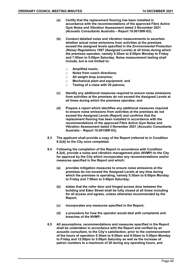- **(a) Certify that the replacement flooring has been installed in accordance with the recommendations of the approved Fibre Active Gym Noise and Vibration Assessment dated 3 November 2021 (Acoustic Consultants Australia – Report 10.00158R-03);**
- **(b) Conduct detailed noise and vibration measurements to ascertain whether actual noise emissions from activities at the premises exceed the assigned levels specified in the** *Environmental Protection (Noise) Regulations 1997* **(Assigned Levels) at all times during which the premises operates, namely 5:30am to 8:00pm Monday to Friday and 7:00am to 5:00pm Saturday. Noise measurement testing shall include, but is not limited to:**
	- o **Amplified music;**
	- o **Noise from coach directions;**
	- o **All weight drop scenarios;**
	- o **Mechanical plant and equipment; and**
	- o **Testing of a class with 20 patrons;**
- **(c) Identify any additional measures required to ensure noise emissions from activities at the premises do not exceed the Assigned Levels at all times during which the premises operates; and**
- **(d) Prepare a report which identifies any additional measures required to ensure noise emissions from activities at the premises do not exceed the Assigned Levels (Report) and confirms that the replacement flooring has been installed in accordance with the recommendations of the approved Fibre Active Gym Noise and Vibration Assessment dated 3 November 2021 (Acoustic Consultants Australia – Report 10.00158R-03);**
- **8.3 The applicant shall provide a copy of the Report (referred to in Condition 8.2(d)) to the City once completed;**
- **8.4 Following the completion of the Report in accordance with Condition 8.2(d), provide a noise and vibration management plan (NVMP) to the City for approval by the City which incorporates any recommendations and/or measures specified in the Report and which:**
	- **(a) provides mitigation measures to ensure noise emissions at the premises do not exceed the Assigned Levels at any time during which the premises is operating, namely 5:30am to 8:00pm Monday to Friday and 7:00am to 5:00pm Saturday;**
	- **(b) states that the roller door and hinged access door between the building and Eden Street shall be fully closed at all times including for all access and egress, unless otherwise recommended by the Report;**
	- **(c) incorporates any measures specified in the Report;**
	- **(d) a procedure for how the operator would deal with complaints and breaches of the NVMP;**
- **8.5 All assumptions, recommendations and measures specified in the Report shall be undertaken in accordance with the Report and verified by an acoustic consultant, to the City's satisfaction, prior to the commencement of the hours of operation 5:30am to 6:00am and 9:00am to 5:00pm Monday to Friday and 12:00pm to 5:00pm Saturday as well as the increase of patron numbers to a maximum of 20 during any operating hours, and**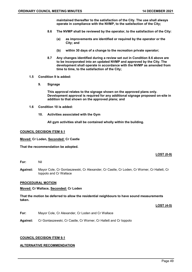**maintained thereafter to the satisfaction of the City. The use shall always operate in compliance with the NVMP, to the satisfaction of the City;**

- **8.6 The NVMP shall be reviewed by the operator, to the satisfaction of the City:**
	- **(a) as improvements are identified or required by the operator or the City; and**
	- **(b) within 30 days of a change to the recreation private operator;**
- **8.7 Any changes identified during a review set out in Condition 8.6 above are to be incorporated into an updated NVMP and approved by the City. The development shall operate in accordance with the NVMP as amended from time to time, to the satisfaction of the City;**
- **1.5 Condition 9 is added:**
	- **9. Signage**

**This approval relates to the signage shown on the approved plans only. Development approval is required for any additional signage proposed on-site in addition to that shown on the approved plans; and**

- **1.6 Condition 10 is added:**
	- **10. Activities associated with the Gym**

**All gym activities shall be contained wholly within the building.**

## **COUNCIL DECISION ITEM 9.1**

**Moved: Cr Loden, Seconded: Cr Castle**

**That the recommendation be adopted.**

## **LOST (0-9)**

**For:** Nil

**Against:** Mayor Cole, Cr Gontaszewski, Cr Alexander, Cr Castle, Cr Loden, Cr Worner, Cr Hallett, Cr Ioppolo and Cr Wallace

#### **PROCEDURAL MOTION**

#### **Moved: Cr Wallace, Seconded: Cr Loden**

**That the motion be deferred to allow the residential neighbours to have sound measurements taken.** 

**LOST (4-5)**

- **For:** Mayor Cole, Cr Alexander, Cr Loden and Cr Wallace
- **Against:** Cr Gontaszewski, Cr Castle, Cr Worner, Cr Hallett and Cr Ioppolo

#### **COUNCIL DECISION ITEM 9.1**

#### **ALTERNATIVE RECOMMENDATION**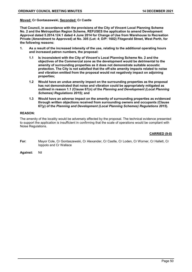#### **Moved: Cr Gontaszewski, Seconded: Cr Castle**

**That Council, in accordance with the provisions of the City of Vincent Local Planning Scheme No. 2 and the Metropolitan Region Scheme, REFUSES the application to amend Development Approval dated 5.2014.124.1 dated 4 June 2014 for Change of Use from Warehouse to Recreation Private (Amendment to Approved) at No. 305 (Lot: 4; D/P: 1602) Fitzgerald Street, West Perth, for the following reasons:**

- **1. As a result of the increased intensity of the use, relating to the additional operating hours and increased patron numbers, the proposal:**
	- **1.1 Is inconsistent with the City of Vincent's Local Planning Scheme No. 2 and the objectives of the Commercial zone as the development would be detrimental to the amenity of surrounding properties as it does not demonstrate suitable acoustic protection. The City is not satisfied that the off-site amenity impacts related to noise and vibration emitted from the proposal would not negatively impact on adjoining properties;**
	- **1.2 Would have an undue amenity impact on the surrounding properties as the proposal has not demonstrated that noise and vibration could be appropriately mitigated as outlined in reason 1.1 (Clause 67(n) of the** *Planning and Development (Local Planning Schemes) Regulations 2015***); and**
	- **1.3 Would have an adverse impact on the amenity of surrounding properties as evidenced through written objections received from surrounding owners and occupants (Clause 67(y) of the** *Planning and Development (Local Planning Schemes) Regulations 2015***).**

#### **REASON:**

The amenity of the locality would be adversely affected by the proposal. The technical evidence presented to support the application is insufficient in confirming that the scale of operations would be compliant with Noise Regulations.

#### **CARRIED (9-0)**

- **For:** Mayor Cole, Cr Gontaszewski, Cr Alexander, Cr Castle, Cr Loden, Cr Worner, Cr Hallett, Cr Ioppolo and Cr Wallace
- **Against:** Nil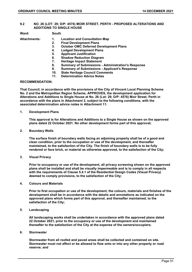#### **9.2 NO. 26 (LOT: 29; D/P: 4576) MOIR STREET, PERTH - PROPOSED ALTERATIONS AND ADDITIONS TO SINGLE HOUSE**

**Ward: South**

- **Attachments: 1. Location and Consultation Map 2. Final Development Plans**
- **3. October OMC Deferred Development Plans**
- **4. Lodged Development Plans**
- **5. Applicant Justification**
- **6. Shadow Reduction Diagram**
- **7. Heritage Impact Statement**
- **8. Summary of Submissions - Administration's Response**
- **9. Summary of Submissions - Applicant's Response**
- **10. State Heritage Council Comments**
- **11. Determination Advice Notes**

#### **RECOMMENDATION:**

**That Council, in accordance with the provisions of the City of Vincent Local Planning Scheme No. 2 and the Metropolitan Region Scheme, APPROVES, the development application for Alterations and Additions to Single House at No. 26 (Lot: 29; D/P: 4576) Moir Street, Perth in accordance with the plans in Attachment 2, subject to the following conditions, with the associated determination advice notes in Attachment 11:**

## **1. Development Plans**

**This approval is for Alterations and Additions to a Single House as shown on the approved plans dated 22 October 2021. No other development forms part of this approval;**

**2. Boundary Walls**

**The surface finish of boundary walls facing an adjoining property shall be of a good and clean condition, prior to the occupation or use of the development, and thereafter maintained, to the satisfaction of the City. The finish of boundary walls is to be fully rendered or face brick, or material as otherwise approved, to the satisfaction of the City;**

**3. Visual Privacy**

**Prior to occupancy or use of the development, all privacy screening shown on the approved plans shall be installed and shall be visually impermeable and is to comply in all respects with the requirements of Clause 5.4.1 of the Residential Design Codes (Visual Privacy) deemed to comply provisions, to the satisfaction of the City;**

**4. Colours and Materials**

**Prior to first occupation or use of the development, the colours, materials and finishes of the development shall be in accordance with the details and annotations as indicated on the approved plans which forms part of this approval, and thereafter maintained, to the satisfaction of the City;**

**5. Landscaping**

**All landscaping works shall be undertaken in accordance with the approved plans dated 22 October 2021, prior to the occupancy or use of the development and maintained thereafter to the satisfaction of the City at the expense of the owners/occupiers;**

**6. Stormwater**

**Stormwater from all roofed and paved areas shall be collected and contained on site. Stormwater must not affect or be allowed to flow onto or into any other property or road reserve; and**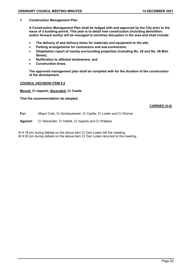#### **7. Construction Management Plan**

**A Construction Management Plan shall be lodged with and approved by the City prior to the issue of a building permit. This plan is to detail how construction (including demolition and/or forward works) will be managed to minimise disruption in the area and shall include:**

- **The delivery of and delivery times for materials and equipment to the site;**
- **Parking arrangements for contractors and sub-contractors;**
- **Dilapidation report of nearby surrounding properties (including No. 24 and No. 28 Moir Street);**
- **Notification to affected landowners; and**
- **Construction times.**

**The approved management plan shall be complied with for the duration of the construction of the development.**

#### **COUNCIL DECISION ITEM 9.2**

**Moved: Cr Ioppolo, Seconded: Cr Castle**

**That the recommendation be adopted.**

#### **CARRIED (5-4)**

- **For:** Mayor Cole, Cr Gontaszewski, Cr Castle, Cr Loden and Cr Worner
- **Against:** Cr Alexander, Cr Hallett, Cr Ioppolo and Cr Wallace

At 9:18 pm during debate on the above item Cr Dan Loden left the meeting. At 9:20 pm during debate on the above item Cr Dan Loden returned to the meeting.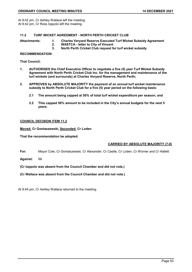At 9:42 pm, Cr Ashley Wallace left the meeting. At 9:42 pm, Cr Ross Ioppolo left the meeting.

## **11.2 TURF WICKET AGREEMENT - NORTH PERTH CRICKET CLUB**

**Attachments: 1. Charles Veryard Reserve Executed Turf Wicket Subsidy Agreement** 

- **2. WASTCA - letter to City of Vincent**
- **3. North Perth Cricket Club request for turf wicket subsidy**

#### **RECOMMENDATION:**

**That Council;**

- **1. AUTHORISES the Chief Executive Officer to negotiate a five (5) year Turf Wicket Subsidy Agreement with North Perth Cricket Club Inc. for the management and maintenance of the turf wickets (and surrounds) at Charles Veryard Reserve, North Perth;**
- **2. APPROVES by ABSOLUTE MAJORITY the payment of an annual turf wicket maintenance subsidy to North Perth Cricket Club for a five (5) year period on the following basis:** 
	- **2.1 The amount being capped at 50% of total turf wicket expenditure per season; and**
	- **2.2 This capped 50% amount to be included in the City's annual budgets for the next 5 years.**

## **COUNCIL DECISION ITEM 11.2**

**Moved: Cr Gontaszewski, Seconded: Cr Loden**

**That the recommendation be adopted.**

## **CARRIED BY ABSOLUTE MAJORITY (7-0)**

**For:** Mayor Cole, Cr Gontaszewski, Cr Alexander, Cr Castle, Cr Loden, Cr Worner and Cr Hallett

**Against:** Nil

**(Cr Ioppolo was absent from the Council Chamber and did not vote.)**

**(Cr Wallace was absent from the Council Chamber and did not vote.)**

At 9:44 pm, Cr Ashley Wallace returned to the meeting.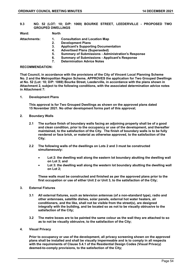**9.3 NO. 52 (LOT: 10; D/P: 1069) BOURKE STREET, LEEDERVILLE - PROPOSED TWO GROUPED DWELLINGS**

**Ward: North**

- **Attachments: 1. Consultation and Location Map** 
	- **2. Development Plans** 
		- **3. Applicant's Supporting Documentation**
	- **4. Advertised Plans (Superseded)**
	- **5. Summary of Submissions - Administration's Response**
	- **6. Summary of Submissions - Applicant's Response**
	- **7. Determination Advice Notes**

#### **RECOMMENDATION:**

**That Council, in accordance with the provisions of the City of Vincent Local Planning Scheme No. 2 and the Metropolitan Region Scheme, APPROVES the application for Two Grouped Dwellings at No. 52 (Lot: 10; D/P: 1069) Bourke Street, Leederville, in accordance with the plans shown in Attachment 2, subject to the following conditions, with the associated determination advice notes in Attachment 7:**

**1. Development Plans**

**This approval is for Two Grouped Dwellings as shown on the approved plans dated 15 November 2021. No other development forms part of this approval;**

- **2. Boundary Walls**
	- **2.1 The surface finish of boundary walls facing an adjoining property shall be of a good and clean condition, prior to the occupancy or use of the development, and thereafter maintained, to the satisfaction of the City. The finish of boundary walls is to be fully rendered or face brick, or material as otherwise approved, to the satisfaction of the City;**
	- **2.2 The following walls of the dwellings on Lots 2 and 3 must be constructed simultaneously:**
		- **Lot 2: the dwelling wall along the eastern lot boundary abutting the dwelling wall on Lot 3; and**
		- Lot 3: the dwelling wall along the western lot boundary abutting the dwelling wall **on Lot 2;**

**These walls must be constructed and finished as per the approved plans prior to the first occupation or use of either Unit 2 or Unit 3, to the satisfaction of the City;**

#### **3. External Fixtures**

- **3.1 All external fixtures, such as television antennas (of a non-standard type), radio and other antennaes, satellite dishes, solar panels, external hot water heaters, air conditioners, and the like, shall not be visible from the street(s), are designed integrally with the building, and be located so as not to be visually obtrusive to the satisfaction of the City;**
- **3.2 The metre boxes are to be painted the same colour as the wall they are attached to so as to not be visually obtrusive, to the satisfaction of the City;**
- **4. Visual Privacy**

**Prior to occupancy or use of the development, all privacy screening shown on the approved plans shall be installed and shall be visually impermeable and is to comply in all respects with the requirements of Clause 5.4.1 of the Residential Design Codes (Visual Privacy) deemed-to-comply provisions, to the satisfaction of the City;**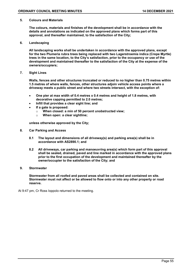#### **5. Colours and Materials**

**The colours, materials and finishes of the development shall be in accordance with the details and annotations as indicated on the approved plans which forms part of this approval, and thereafter maintained, to the satisfaction of the City;**

**6. Landscaping**

**All landscaping works shall be undertaken in accordance with the approved plans, except for the two Plumeria rubra trees being replaced with two Lagerstroemia indica (Crepe Myrtle) trees in the same location, to the City's satisfaction, prior to the occupancy or use of the development and maintained thereafter to the satisfaction of the City at the expense of the owners/occupiers;**

**7. Sight Lines**

**Walls, fences and other structures truncated or reduced to no higher than 0.75 metres within 1.5 metres of where walls, fences, other structures adjoin vehicle access points where a driveway meets a public street and where two streets intersect, with the exception of:**

- **One pier at max width of 0.4 metres x 0.4 metres and height of 1.8 metres, with decorative capping permitted to 2.0 metres;**
- **Infill that provides a clear sight line; and**
- **If a gate is proposed:**
	- o **When closed: a min of 50 percent unobstructed view;**
	- o **When open: a clear sightline;**

**unless otherwise approved by the City;**

- **8. Car Parking and Access**
	- **8.1 The layout and dimensions of all driveway(s) and parking area(s) shall be in accordance with AS2890.1; and**
	- **8.2 All driveways, car parking and manoeuvring area(s) which form part of this approval shall be sealed, drained, paved and line marked in accordance with the approved plans prior to the first occupation of the development and maintained thereafter by the owner/occupier to the satisfaction of the City; and**
- **9. Stormwater**

**Stormwater from all roofed and paved areas shall be collected and contained on site. Stormwater must not affect or be allowed to flow onto or into any other property or road reserve.**

At 9:47 pm, Cr Ross Ioppolo returned to the meeting.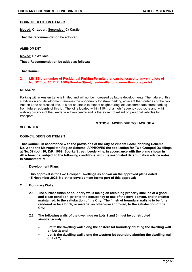## **COUNCIL DECISION ITEM 9.3**

**Moved: Cr Loden, Seconded: Cr Castle**

**That the recommendation be adopted.**

#### **AMENDMENT**

**Moved: Cr Wallace**

**That a Recommendation be added as follows:**

#### **That Council:**

#### **2. LIMITS the number of Residential Parking Permits that can be issued to any child lots of No. 52 (Lot: 10; D/P: 1069) Bourke Street, Leederville to no more than one per lot.**

#### **REASON:**

Parking within Austen Lane is limited and will not be increased by future developments. The nature of this subdivision and development removes the opportunity for street parking adjacent the frontages of the two Austen Lane addressed lots. It is not equitable to expect neighbouring lots accommodate street parking from future residents of this lot. The lot is located within 110m of a high frequency bus route and within walking distance of the Leederville town centre and is therefore not reliant on personal vehicles for transport.

## **MOTION LAPSED DUE TO LACK OF A**

#### **SECONDER**

#### **COUNCIL DECISION ITEM 9.3**

**That Council, in accordance with the provisions of the City of Vincent Local Planning Scheme No. 2 and the Metropolitan Region Scheme, APPROVES the application for Two Grouped Dwellings at No. 52 (Lot: 10; D/P: 1069) Bourke Street, Leederville, in accordance with the plans shown in Attachment 2, subject to the following conditions, with the associated determination advice notes in Attachment 7:**

**1. Development Plans**

**This approval is for Two Grouped Dwellings as shown on the approved plans dated 15 November 2021. No other development forms part of this approval;**

#### **2. Boundary Walls**

- **2.1 The surface finish of boundary walls facing an adjoining property shall be of a good and clean condition, prior to the occupancy or use of the development, and thereafter maintained, to the satisfaction of the City. The finish of boundary walls is to be fully rendered or face brick, or material as otherwise approved, to the satisfaction of the City;**
- **2.2 The following walls of the dwellings on Lots 2 and 3 must be constructed simultaneously:**
	- **Lot 2: the dwelling wall along the eastern lot boundary abutting the dwelling wall on Lot 3; and**
	- Lot 3: the dwelling wall along the western lot boundary abutting the dwelling wall **on Lot 2;**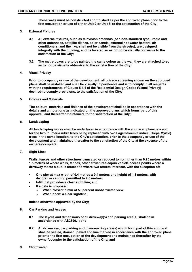**These walls must be constructed and finished as per the approved plans prior to the first occupation or use of either Unit 2 or Unit 3, to the satisfaction of the City;**

#### **3. External Fixtures**

- **3.1 All external fixtures, such as television antennas (of a non-standard type), radio and other antennaes, satellite dishes, solar panels, external hot water heaters, air conditioners, and the like, shall not be visible from the street(s), are designed integrally with the building, and be located so as not to be visually obtrusive to the satisfaction of the City;**
- **3.2 The metre boxes are to be painted the same colour as the wall they are attached to so as to not be visually obtrusive, to the satisfaction of the City;**

#### **4. Visual Privacy**

**Prior to occupancy or use of the development, all privacy screening shown on the approved plans shall be installed and shall be visually impermeable and is to comply in all respects with the requirements of Clause 5.4.1 of the Residential Design Codes (Visual Privacy) deemed-to-comply provisions, to the satisfaction of the City;**

**5. Colours and Materials**

**The colours, materials and finishes of the development shall be in accordance with the details and annotations as indicated on the approved plans which forms part of this approval, and thereafter maintained, to the satisfaction of the City;**

**6. Landscaping**

**All landscaping works shall be undertaken in accordance with the approved plans, except for the two Plumeria rubra trees being replaced with two Lagerstroemia indica (Crepe Myrtle) trees in the same location, to the City's satisfaction, prior to the occupancy or use of the development and maintained thereafter to the satisfaction of the City at the expense of the owners/occupiers;**

**7. Sight Lines**

**Walls, fences and other structures truncated or reduced to no higher than 0.75 metres within 1.5 metres of where walls, fences, other structures adjoin vehicle access points where a driveway meets a public street and where two streets intersect, with the exception of:**

- **One pier at max width of 0.4 metres x 0.4 metres and height of 1.8 metres, with decorative capping permitted to 2.0 metres;**
- **Infill that provides a clear sight line; and**
- **If a gate is proposed:**
	- o **When closed: a min of 50 percent unobstructed view;**
	- o **When open: a clear sightline;**

**unless otherwise approved by the City;**

#### **8. Car Parking and Access**

- **8.1 The layout and dimensions of all driveway(s) and parking area(s) shall be in accordance with AS2890.1; and**
- **8.2 All driveways, car parking and manoeuvring area(s) which form part of this approval shall be sealed, drained, paved and line marked in accordance with the approved plans prior to the first occupation of the development and maintained thereafter by the owner/occupier to the satisfaction of the City; and**
- **9. Stormwater**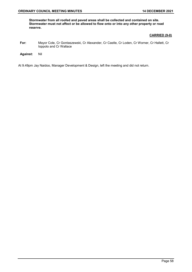**Stormwater from all roofed and paved areas shall be collected and contained on site. Stormwater must not affect or be allowed to flow onto or into any other property or road reserve.**

#### **CARRIED (9-0)**

- **For:** Mayor Cole, Cr Gontaszewski, Cr Alexander, Cr Castle, Cr Loden, Cr Worner, Cr Hallett, Cr Ioppolo and Cr Wallace
- **Against:** Nil

At 9.49pm Jay Naidoo, Manager Development & Design, left the meeting and did not return.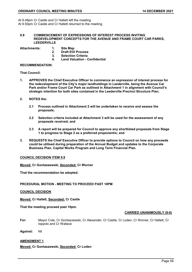At 9.48pm Cr Castle and Cr Hallett left the meeting. At 9.50pm Cr Castle and Cr Hallett returned to the meeting.

#### **9.9 COMMENCEMENT OF EXPRESSIONS OF INTEREST PROCESS INVITING REDEVELOPMENT CONCEPTS FOR THE AVENUE AND FRAME COURT CAR PARKS, LEEDERVILLE**

**Attachments: 1. Site Map** 

- 
- **2. Draft EOI Process**
- **3. Selection Criteria 4. Land Valuation - Confidential**

#### **RECOMMENDATION:**

**That Council:**

- **1. APPROVES the Chief Executive Officer to commence an expression of interest process for the redevelopment of the City's major landholdings in Leederville, being the Avenue Car Park and/or Frame Court Car Park as outlined in Attachment 1 in alignment with Council's strategic intention for both sites contained in the Leederville Precinct Structure Plan;**
- **2. NOTES the:**
	- **2.1 Process outlined in Attachment 2 will be undertaken to receive and assess the proposals;**
	- **2.2 Selection criteria included at Attachment 3 will be used for the assessment of any proposals received; and**
	- **2.3 A report will be prepared for Council to approve any shortlisted proposals from Stage 1 to progress to Stage 2 as a preferred proponent/s; and**
- **3. REQUESTS the Chief Executive Officer to provide options to Council on how any proceeds could be utilised during preparation of the Annual Budget and updates to the Corporate Business Plan, Capital Works Program and Long Term Financial Plan.**

#### **COUNCIL DECISION ITEM 9.9**

**Moved: Cr Gontaszewski, Seconded: Cr Worner**

**That the recommendation be adopted.**

#### **PRCEDURAL MOTION - MEETING TO PROCEED PAST 10PM**

**COUNCIL DECISION**

**Moved: Cr Hallett, Seconded: Cr Castle**

**That the meeting proceed past 10pm.**

#### **CARRIED UNANIMOUSLY (9-0)**

**For:** Mayor Cole, Cr Gontaszewski, Cr Alexander, Cr Castle, Cr Loden, Cr Worner, Cr Hallett, Cr Ioppolo and Cr Wallace

**Against:** Nil

## **AMENDMENT 1**

**Moved: Cr Gontaszewski, Seconded: Cr Loden**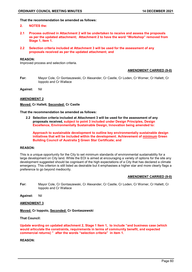#### **That the recommendation be amended as follows:**

#### **2. NOTES the:**

- **2.1 Process outlined in Attachment 2 will be undertaken to receive and assess the proposals as per the updated attachment; Attachment 2 to have the word "Workshop" removed from Stage 1, item 1.**
- **2.2 Selection criteria included at Attachment 3 will be used for the assessment of any proposals received as per the updated attachment; and**

#### **REASON:**

Improved process and selection criteria.

#### **AMENDMENT CARRIED (9-0)**

**For:** Mayor Cole, Cr Gontaszewski, Cr Alexander, Cr Castle, Cr Loden, Cr Worner, Cr Hallett, Cr Ioppolo and Cr Wallace

**Against:** Nil

#### **AMENDMENT 2**

#### **Moved: Cr Hallett, Seconded: Cr Castle**

**That the recommendation be amended as follows:**

**2.2 Selection criteria included at Attachment 3 will be used for the assessment of any proposals received, subject to point 3 included under Design Principles, Design Excellence, Environmentally Sustainable Design, Innovation being amended to:**

**Approach to sustainable development to outline key environmentally sustainable design initiatives that will be included within the development. Achievement of minimum Green Building Council of Australia 5 Green Star Certificate; and**

#### **REASON:**

This is a unique opportunity for the City to set minimum standards of environmental sustainability for a large development on City land. While the EOI is aimed at encouraging a variety of options for the site any development suggested should be cognisant of the high expectations of a City that has declared a climate emergency. This criterion is still listed as desirable but it emphasises a higher star and more clearly flags a preference to go beyond mediocrity.

#### **AMENDMENT CARRIED (9-0)**

**For:** Mayor Cole, Cr Gontaszewski, Cr Alexander, Cr Castle, Cr Loden, Cr Worner, Cr Hallett, Cr Ioppolo and Cr Wallace

**Against:** Nil

**AMENDMENT 3**

**Moved: Cr Ioppolo, Seconded: Cr Gontaszewski**

**That Council:**

**Update wording on updated attachment 2, Stage 1 Item 1, to include "and business case (which would articulate the constraints, requirements in terms of community benefit, and expected commercial returns) " after the words "selection criteria" in item 1.**

**REASON:**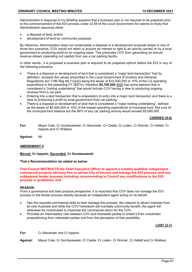Administration's response to my Briefing question that a business plan is not required to be prepared prior to the commencement of the EOI process under s3.59 of the *Local Government Act* seems to imply that Administration assumes either:

- a disposal of land; and/or
- development of land for community purposes.

By inference, Administration does not contemplate a disposal or a development proposal where in one of those two scenarios, COV would not retain or acquire an interest or right to an activity carried on by a local government to producing profit on an ongoing basis. This precludes COV from generating an annual revenue stream (operating not capital) from say a car parking facility.

In other words., it is proposed a business plan is required to be prepared upfront before the EOI in any of the following scenarios:

- There is a disposal or development of land that is considered a "major land transaction" that by definition, exceeds the values prescribed in the Local Government (Functions and General) Regulations Act 1196 Reg 8A (1)(a)(i) being the lesser of \$10,000,000 or 10% of the LG operating expenditure in the preceding FY (\$57m), therefore **\$5,700,000** AND has some element that is considered a "trading undertaking" that would include COV having a view to producing ongoing revenue from a car park.
- Entering into a land transaction that is preparatory to entry into a major land transaction and there is a view to producing a profit by local government from car parking.
- There is a disposal or development of land that is considered a "major trading undertaking", defined as the lesser of \$5,000,000 or 10% of the lowest operating expenditure of municipal fund. Not sure of the municipal fund balance but the NPV of any car parking annuity would exceed \$5,000,000.

## **CARRIED (9-0)**

**For:** Mayor Cole, Cr Gontaszewski, Cr Alexander, Cr Castle, Cr Loden, Cr Worner, Cr Hallett, Cr Ioppolo and Cr Wallace

**Against:** Nil

## **AMENDMENT 4**

#### **Moved: Cr Ioppolo, Seconded: Cr Gontaszewski**

#### **That a Recommendation be added as below:**

**That Council INSTRUCTS the Chief Executive Officer to appoint a suitably qualified, independent commercial property advisory firm to advise City of Vincent and manage the EOI process (and any subsequent tender process) including recommending to Council any modifications to the EOI process or guidelines; and**

#### **REASON:**

From a governance and best practice perspective, it is important that COV does not manage the EOI process or the tender process directly because an independent agent acting on its behalf:

- Has the requisite commercial skills to best manage this process, the network to attract interests from all over Australia and while the COV framework will mandate community benefit, the agent will otherwise be incentivised to maximise the commercial return for the COV.
- Provides an intermediary role between COV and interested parties to shield it from unsolicited propositioning from interested parties and from the perception of that possibility.

#### **LOST (2-7)**

**For:** Cr Alexander and Cr Ioppolo

**Against:** Mayor Cole, Cr Gontaszewski, Cr Castle, Cr Loden, Cr Worner, Cr Hallett and Cr Wallace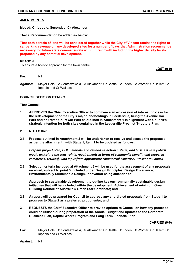## **AMENDMENT 5**

**Moved: Cr Ioppolo, Seconded: Cr Alexander**

**That a Recommendation be added as below:**

**That both parcels of land will be considered together while the City of Vincent retains the rights to car parking revenue on any developed sites for a number of bays that Administration recommends necessary for future state commensurate with future growth including the higher density levels proposed by any potential development.**

#### **REASON:**

To ensure a holistic approach for the town centre.

**LOST (0-9)**

**For:** Nil

**Against:** Mayor Cole, Cr Gontaszewski, Cr Alexander, Cr Castle, Cr Loden, Cr Worner, Cr Hallett, Cr Ioppolo and Cr Wallace

#### **COUNCIL DECISION ITEM 9.9**

#### **That Council:**

- **1. APPROVES the Chief Executive Officer to commence an expression of interest process for the redevelopment of the City's major landholdings in Leederville, being the Avenue Car Park and/or Frame Court Car Park as outlined in Attachment 1 in alignment with Council's strategic intention for both sites contained in the Leederville Precinct Structure Plan;**
- **2. NOTES the:**
- **2.1 Process outlined in Attachment 2 will be undertaken to receive and assess the proposals as per the attachment; with Stage 1, Item 1 to be updated as follows:**

*Prepare project plan, EOI materials and refined selection criteria, and business case (which would articulate the constraints, requirements in terms of community benefit, and expected commercial returns), with input from appropriate commercial expertise. Present to Council*

**2.2 Selection criteria included at Attachment 3 will be used for the assessment of any proposals received, subject to point 3 included under Design Principles, Design Excellence, Environmentally Sustainable Design, Innovation being amended to:**

**Approach to sustainable development to outline key environmentally sustainable design initiatives that will be included within the development. Achievement of minimum Green Building Council of Australia 5 Green Star Certificate; and**

- **2.3 A report will be prepared for Council to approve any shortlisted proposals from Stage 1 to progress to Stage 2 as a preferred proponent/s; and**
- **3**. **REQUESTS the Chief Executive Officer to provide options to Council on how any proceeds could be utilised during preparation of the Annual Budget and updates to the Corporate Business Plan, Capital Works Program and Long Term Financial Plan**.

#### **CARRIED (9-0)**

**For:** Mayor Cole, Cr Gontaszewski, Cr Alexander, Cr Castle, Cr Loden, Cr Worner, Cr Hallett, Cr Ioppolo and Cr Wallace

**Against:** Nil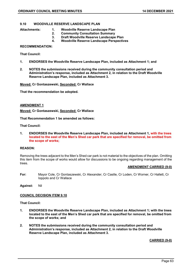## **9.10 WOODVILLE RESERVE LANDSCAPE PLAN**

- **Attachments: 1. Woodville Reserve Landscape Plan** 
	- **2. Community Consultation Summary**
	- **3. Draft Woodville Reserve Landscape Plan**
	- **4. Woodville Reserve Landscape Perspectives**

#### **RECOMMENDATION:**

**That Council:**

- **1. ENDORSES the Woodville Reserve Landscape Plan, included as Attachment 1; and**
- **2. NOTES the submissions received during the community consultation period and Administration's response, included as Attachment 2, in relation to the Draft Woodville Reserve Landscape Plan, included as Attachment 3.**

**Moved: Cr Gontaszewski, Seconded: Cr Wallace**

**That the recommendation be adopted.**

#### **AMENDMENT 1**

**Moved: Cr Gontaszewski, Seconded: Cr Wallace** 

**That Recommendation 1 be amended as follows:**

**That Council:**

**1. ENDORSES the Woodville Reserve Landscape Plan, included as Attachment 1, with the trees located to the east of the Men's Shed car park that are specified for removal, be omitted from the scope of works;**

## **REASON:**

Removing the trees adjacent to the Men's Shed car park is not material to the objectives of the plan. Omitting this item from the scope of works would allow for discussions to be ongoing regarding management of the trees.

#### **AMENDMENT CARRIED (9-0)**

**For:** Mayor Cole, Cr Gontaszewski, Cr Alexander, Cr Castle, Cr Loden, Cr Worner, Cr Hallett, Cr Ioppolo and Cr Wallace

**Against:** Nil

#### **COUNCIL DECISION ITEM 9.10**

**That Council:**

- **1. ENDORSES the Woodville Reserve Landscape Plan, included as Attachment 1; with the trees located to the east of the Men's Shed car park that are specified for removal, be omitted from the scope of works; and**
- **2. NOTES the submissions received during the community consultation period and Administration's response, included as Attachment 2, in relation to the Draft Woodville Reserve Landscape Plan, included as Attachment 3.**

#### **CARRIED (9-0)**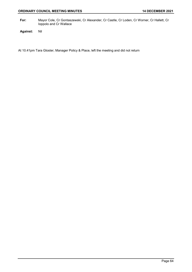**For:** Mayor Cole, Cr Gontaszewski, Cr Alexander, Cr Castle, Cr Loden, Cr Worner, Cr Hallett, Cr Ioppolo and Cr Wallace

**Against:** Nil

At 10.41pm Tara Gloster, Manager Policy & Place, left the meeting and did not return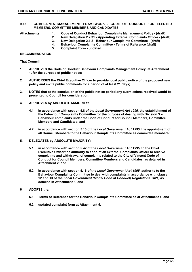#### **9.15 COMPLAINTS MANAGEMENT FRAMEWORK - CODE OF CONDUCT FOR ELECTED MEMBERS, COMMITTEE MEMBERS AND CANDIDATES**

- **Attachments: 1. Code of Conduct Behaviour Complaints Management Policy - (draft)** 
	- **2. New Delegation 2.2.31 - Appointing External Complaints Officer - (draft)** 
		- **3. New Delegation 2.1.2 - Behaviour Complaints Committee - (draft)**
	- **4. Behaviour Complaints Committee - Terms of Reference (draft)** 
		- **5. Complaint Form - updated**

#### **RECOMMENDATION:**

**That Council:**

- **1. APPROVES the Code of Conduct Behaviour Complaints Management Policy, at Attachment 1, for the purpose of public notice;**
- **2. AUTHORISES the Chief Executive Officer to provide local public notice of the proposed new policy and invite public comments for a period of at least 21 days;**
- **3. NOTES that at the conclusion of the public notice period any submissions received would be presented to Council for consideration;**
- **4. APPROVES by ABSOLUTE MAJORITY:**
	- **4.1 in accordance with section 5.8 of the** *Local Government Act 1995***, the establishment of the Behaviour Complaints Committee for the purpose of dealing with Division 3 – Behaviour complaints under the Code of Conduct for Council Members, Committee Members and Candidates; and**
	- **4.2 in accordance with section 5.10 of the** *Local Government Act 1995***, the appointment of all Council Members to the Behaviour Complaints Committee as committee members;**
- **5. DELEGATES by ABSOLUTE MAJORITY:**
	- **5.1 in accordance with section 5.42 of the** *Local Government Act 1995,* **to the Chief Executive Officer the authority to appoint an external Complaints Officer to receive complaints and withdrawal of complaints related to the City of Vincent Code of Conduct for Council Members, Committee Members and Candidates, as detailed in Attachment 2; and**
	- **5.2 in accordance with section 5.16 of the** *Local Government Act 1995,* **authority to the Behaviour Complaints Committee to deal with complaints in accordance with clause 12 and 13 of the** *Local Government (Model Code of Conduct) Regulations 2021,* **as detailed in Attachment 3; and**
- **6 ADOPTS the:**
	- **6.1 Terms of Reference for the Behaviour Complaints Committee as at Attachment 4; and**
	- **6.2 updated complaint form at Attachment 5.**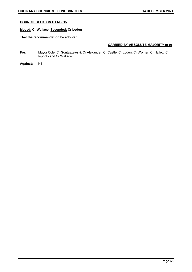## **COUNCIL DECISION ITEM 9.15**

## **Moved: Cr Wallace, Seconded: Cr Loden**

## **That the recommendation be adopted.**

## **CARRIED BY ABSOLUTE MAJORITY (9-0)**

**For:** Mayor Cole, Cr Gontaszewski, Cr Alexander, Cr Castle, Cr Loden, Cr Worner, Cr Hallett, Cr Ioppolo and Cr Wallace

**Against:** Nil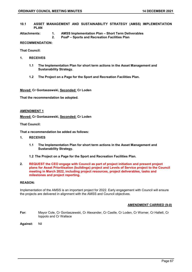- **10.1 ASSET MANAGEMENT AND SUSTAINABILITY STRATEGY (AMSS) IMPLEMENTATION PLAN**
- **Attachments: 1. AMSS Implementation Plan – Short Term Deliverables** 
	- **2. PoaP – Sports and Recreation Facilities Plan**

## **RECOMMENDATION:**

**That Council:**

- **1. RECEIVES** 
	- **1.1 The Implementation Plan for short term actions in the Asset Management and Sustanability Strategy.**
	- **1.2 The Project on a Page for the Sport and Recreation Facilities Plan.**

**Moved: Cr Gontaszewski, Seconded: Cr Loden**

**That the recommendation be adopted.**

#### **AMENDMENT 1**

**Moved: Cr Gontaszewski, Seconded: Cr Loden** 

**That Council:**

**That a recommendation be added as follows:**

- **1. RECEIVES**
	- **1.1 The Implementation Plan for short term actions in the Asset Management and Sustanability Strategy.**
	- **1.2 The Project on a Page for the Sport and Recreation Facilities Plan.**
- **2. REQUEST the CEO engage with Council as part of project initiation and present project plans for Asset Prioritisation (buildings) project and Levels of Service project to the Council meeting in March 2022, including project resources, project deliverables, tasks and milestones and project reporting.**

#### **REASON:**

Implementation of the AMSS is an important project for 2022. Early engagement with Council will ensure the projects are delivered in alignment with the AMSS and Council objectives.

#### **AMENDMENT CARRIED (9-0)**

- **For:** Mayor Cole, Cr Gontaszewski, Cr Alexander, Cr Castle, Cr Loden, Cr Worner, Cr Hallett, Cr Ioppolo and Cr Wallace
- **Against:** Nil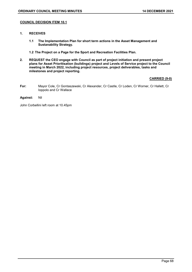## **COUNCIL DECISION ITEM 10.1**

- **1. RECEIVES** 
	- **1.1 The Implementation Plan for short term actions in the Asset Management and Sustanability Strategy.**
	- **1.2 The Project on a Page for the Sport and Recreation Facilities Plan.**
- **2. REQUEST the CEO engage with Council as part of project initiation and present project plans for Asset Prioritisation (buildings) project and Levels of Service project to the Council meeting in March 2022, including project resources, project deliverables, tasks and milestones and project reporting.**

## **CARRIED (9-0)**

- **For:** Mayor Cole, Cr Gontaszewski, Cr Alexander, Cr Castle, Cr Loden, Cr Worner, Cr Hallett, Cr Ioppolo and Cr Wallace
- **Against:** Nil

John Corbellini left room at 10.45pm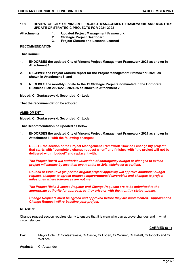#### **11.9 REVIEW OF CITY OF VINCENT PROJECT MANAGEMENT FRAMEWORK AND MONTHLY UPDATE OF STRATEGIC PROJECTS FOR 2021-2022**

- **Attachments: 1. Updated Project Management Framework** 
	- **2. Strategic Project Dashboard**
	- **3. Project Closure and Lessons Learned**

**RECOMMENDATION:**

**That Council:**

- **1. ENDORSES the updated City of Vincent Project Management Framework 2021 as shown in Attachment 1;**
- **2. RECEIVES the Project Closure report for the Project Management Framework 2021, as shown in Attachment 3; and**
- **3. RECEIVES the monthly update to the 12 Strategic Projects nominated in the Corporate Business Plan 2021/22 – 2024/25 as shown in Attachment 2.**

**Moved: Cr Gontaszewski, Seconded: Cr Loden**

**That the recommendation be adopted.**

## **AMENDMENT 1**

**Moved: Cr Gontaszewski, Seconded: Cr Loden**

**That Recommendation be updated as below:**

**1. ENDORSES the updated City of Vincent Project Management Framework 2021 as shown in Attachment 1; with the following changes:**

**DELETE the section of the Project Management Framework 'How do I change my project" that starts with "complete a change request when" and finishes with "the project will not be delivered within budget" and replace it with:**

*The Project Board will authorise utilisation of contingency budget or changes to extend project milestones by less than two months or 20% whichever is earliest.* 

*Council or Executive (as per the original project approval) will approve additional budget request, changes to agreed project scope/products/deliverables and changes to project milestones where tolerances are not met.*

*The Project Risks & Issues Register and Change Requests are to be submitted to the appropriate authority for approval, as they arise or with the monthly status update.*

*Change Requests must be agreed and approved before they are implemented. Approval of a Change Request will re-baseline your project.*

#### **REASON:**

Change request section requires clarity to ensure that it is clear who can approve changes and in what circumstances.

#### **CARRIED (8-1)**

- **For:** Mayor Cole, Cr Gontaszewski, Cr Castle, Cr Loden, Cr Worner, Cr Hallett, Cr Ioppolo and Cr **Wallace**
- **Against:** Cr Alexander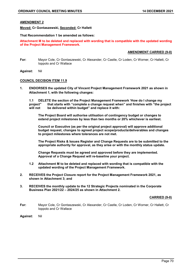## **AMENDMENT 2**

**Moved: Cr Gontaszewski, Seconded: Cr Hallett**

#### **That Recommendation 1 be amended as follows:**

**Attachment M to be deleted and replaced with wording that is compatible with the updated wording of the Project Management Framework.** 

#### **AMENDMENT CARRIED (9-0)**

- **For:** Mayor Cole, Cr Gontaszewski, Cr Alexander, Cr Castle, Cr Loden, Cr Worner, Cr Hallett, Cr Ioppolo and Cr Wallace
- **Against:** Nil

#### **COUNCIL DECISION ITEM 11.9**

**1. ENDORSES the updated City of Vincent Project Management Framework 2021 as shown in Attachment 1, with the following changes:**

**1.1 DELETE the section of the Project Management Framework 'How do I change my project" that starts with "complete a change request when" and finishes with "the project**  be delivered within budget" and replace it with:

**The Project Board will authorise utilisation of contingency budget or changes to extend project milestones by less than two months or 20% whichever is earliest.** 

**Council or Executive (as per the original project approval) will approve additional budget request, changes to agreed project scope/products/deliverables and changes to project milestones where tolerances are not met.**

**The Project Risks & Issues Register and Change Requests are to be submitted to the appropriate authority for approval, as they arise or with the monthly status update.**

**Change Requests must be agreed and approved before they are implemented. Approval of a Change Request will re-baseline your project.**

- **1.2 Attachment M to be deleted and replaced with wording that is compatible with the updated wording of the Project Management Framework.**
- **2. RECEIVES the Project Closure report for the Project Management Framework 2021, as shown in Attachment 3; and**
- **3. RECEIVES the monthly update to the 12 Strategic Projects nominated in the Corporate Business Plan 2021/22 – 2024/25 as shown in Attachment 2.**

#### **CARRIED (9-0)**

- **For:** Mayor Cole, Cr Gontaszewski, Cr Alexander, Cr Castle, Cr Loden, Cr Worner, Cr Hallett, Cr Ioppolo and Cr Wallace
- **Against:** Nil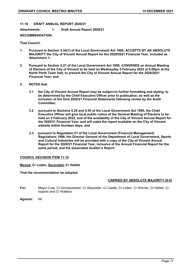#### **11.10 DRAFT ANNUAL REPORT 2020/21**

**Attachments: 1. Draft Annual Report 2020/21** 

## **RECOMMENDATION:**

## **That Council:**

- **1. Pursuant to Section 5.54(1) of the Local Government Act 1995, ACCEPTS BY AN ABSOLUTE MAJORITY the City of Vincent Annual Report for the 2020/2021 Financial Year, included as Attachment 1;**
- **2. Pursuant to Section 5.27 of the Local Government Act 1995, CONVENES an Annual Meeting of Electors of the City of Vincent to be held on Wednesday 5 February 2022 at 6.00pm at the North Perth Town Hall, to present the City of Vincent Annual Report for the 2020/2021 Financial Year; and**
- **3. NOTES that:**
	- **3.1 the City of Vincent Annual Report may be subject to further formatting and styling, to be determined by the Chief Executive Officer prior to publication, as well as the inclusion of the final 2020/21 Financial Statements following review by the Audit Committee;**
	- **3.2 pursuant to Sections 5.29 and 5.55 of the Local Government Act 1995, the Chief Executive Officer will give local public notice of the General Meeting of Electors to be held on 5 February 2022, and of the availability of the City of Vincent Annual Report for the 2020/21 Financial Year, and will make the report available on the City of Vincent website within fourteen days; and**
	- **3.3 pursuant to Regulation 51 of the Local Government (Financial Management) Regulations 1996, the Director General of the Department of Local Government, Sports and Cultural Industries will be provided with a copy of the City of Vincent Annual Report for the 2020/21 Financial Year, inclusive of the Annual Financial Report for the same period, and the associated Auditor's Report.**

#### **COUNCIL DECISION ITEM 11.10**

#### **Moved: Cr Loden, Seconded: Cr Hallett**

#### **That the recommendation be adopted.**

## **CARRIED BY ABSOLUTE MAJORITY (9-0)**

- **For:** Mayor Cole, Cr Gontaszewski, Cr Alexander, Cr Castle, Cr Loden, Cr Worner, Cr Hallett, Cr Ioppolo and Cr Wallace
- **Against:** Nil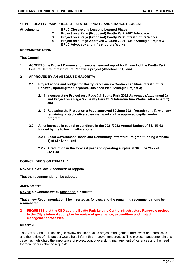## **11.11 BEATTY PARK PROJECT - STATUS UPDATE AND CHANGE REQUEST**

- **Attachments: 1. BPLC Closure and Lessons Learned Phase 1** 
	-
	- **2. Project on a Page (Proposed) Beatty Park 2062 Advocacy**
	- **3. Project on a Page (Proposed) Beatty Park Infrastructure Works 4. Project on a Page Approved 30 June 2021 - CBP Strategic Project 3 - BPLC Advocacy and Infrastructure Works**

## **RECOMMENDATION:**

**That Council:**

- **1. ACCEPTS the Project Closure and Lessons Learned report for Phase 1 of the Beatty Park Leisure Centre Infrastructure Renewals project (Attachment 1); and**
- **2. APPROVES BY AN ABSOLUTE MAJORITY:**
	- **2.1 Project scope and budget for Beatty Park Leisure Centre - Facilities Infrastructure Renewal, updating the Corporate Business Plan Strategic Project 3;**
		- **2.1.1 Incorporating Project on a Page 3.1 Beatty Park 2062 Advocacy (Attachment 2) and Project on a Page 3.2 Beatty Park 2062 Infrastructure Works (Attachment 3); and**
		- **2.1.2 Replacing the Project on a Page approved 30 June 2021 (Attachment 4), with any remaining project deliverables managed via the approved capital works program;**
	- **2.2 A net increase in capital expenditure in the 2021/2022 Annual Budget of \$1,155,631, funded by the following allocations:**
		- **2.2.1 Local Government Roads and Community Infrastructure grant funding (tranche 3) of \$541,144; and**
		- **2.2.2 A reduction in the forecast year end operating surplus at 30 June 2022 of \$614,487.**

#### **COUNCIL DECISION ITEM 11.11**

**Moved: Cr Wallace, Seconded: Cr Ioppolo**

**That the recommendation be adopted.**

#### **AMENDMENT**

**Moved: Cr Gontaszewski, Seconded: Cr Hallett** 

**That a new Recommendation 2 be inserted as follows, and the remaining recommendations be renumbered:**

**2. REQUESTS that the CEO add the Beatty Park Leisure Centre Infrastructure Renewals project to the City's internal audit plan for review of governance, expenditure and project management processes.**

#### **REASON:**

The City of Vincent is seeking to review and improve its project management framework and processes and the review of this project would help inform this improvement process. The project management in this case has highlighted the importance of project control oversight, management of variances and the need for more rigor in change requests.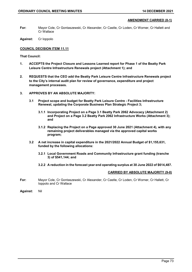### **AMENDMENT CARRIED (8-1)**

- **For:** Mayor Cole, Cr Gontaszewski, Cr Alexander, Cr Castle, Cr Loden, Cr Worner, Cr Hallett and Cr Wallace
- **Against:** Cr Ioppolo

### **COUNCIL DECISION ITEM 11.11**

**That Council:**

- **1. ACCEPTS the Project Closure and Lessons Learned report for Phase 1 of the Beatty Park Leisure Centre Infrastructure Renewals project (Attachment 1); and**
- **2. REQUESTS that the CEO add the Beatty Park Leisure Centre Infrastructure Renewals project to the City's internal audit plan for review of governance, expenditure and project management processes.**
- **3. APPROVES BY AN ABSOLUTE MAJORITY:**
	- **3.1 Project scope and budget for Beatty Park Leisure Centre - Facilities Infrastructure Renewal, updating the Corporate Business Plan Strategic Project 3;**
		- **3.1.1 Incorporating Project on a Page 3.1 Beatty Park 2062 Advocacy (Attachment 2) and Project on a Page 3.2 Beatty Park 2062 Infrastructure Works (Attachment 3); and**
		- **3.1.2 Replacing the Project on a Page approved 30 June 2021 (Attachment 4), with any remaining project deliverables managed via the approved capital works program;**
	- **3.2 A net increase in capital expenditure in the 2021/2022 Annual Budget of \$1,155,631, funded by the following allocations:**
		- **3.2.1 Local Government Roads and Community Infrastructure grant funding (tranche 3) of \$541,144; and**
		- **3.2.2 A reduction in the forecast year end operating surplus at 30 June 2022 of \$614,487.**

### **CARRIED BY ABSOLUTE MAJORITY (9-0)**

- **For:** Mayor Cole, Cr Gontaszewski, Cr Alexander, Cr Castle, Cr Loden, Cr Worner, Cr Hallett, Cr Ioppolo and Cr Wallace
- **Against:** Nil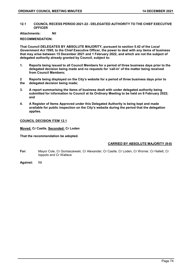**12.1 COUNCIL RECESS PERIOD 2021-22 - DELEGATED AUTHORITY TO THE CHIEF EXECUTIVE OFFICER**

**Attachments: Nil**

**RECOMMENDATION:**

**That Council DELEGATES BY ABSOLUTE MAJORITY, pursuant to section 5.42 of the** *Local Government Act 1995,* **to the Chief Executive Officer, the power to deal with any items of business that may arise between 15 December 2021 and 1 February 2022, and which are not the subject of delegated authority already granted by Council, subject to:**

- **1. Reports being issued to all Council Members for a period of three business days prior to the delegated decision being made and no requests for 'call-in' of the matter being received from Council Members;**
- **2 Reports being displayed on the City's website for a period of three business days prior to the delegated decision being made;**
- **3. A report summarising the items of business dealt with under delegated authority being submitted for information to Council at its Ordinary Meeting to be held on 8 February 2022; and**
- **4. A Register of Items Approved under this Delegated Authority is being kept and made available for public inspection on the City's website during the period that the delegation applies.**

### **COUNCIL DECISION ITEM 12.1**

**Moved: Cr Castle, Seconded: Cr Loden**

**That the recommendation be adopted.**

### **CARRIED BY ABSOLUTE MAJORITY (9-0)**

- **For:** Mayor Cole, Cr Gontaszewski, Cr Alexander, Cr Castle, Cr Loden, Cr Worner, Cr Hallett, Cr Ioppolo and Cr Wallace
- **Against:** Nil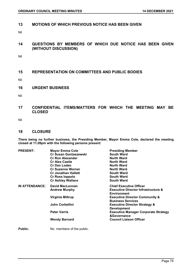### **13 MOTIONS OF WHICH PREVIOUS NOTICE HAS BEEN GIVEN**

Nil

# **14 QUESTIONS BY MEMBERS OF WHICH DUE NOTICE HAS BEEN GIVEN (WITHOUT DISCUSSION)**

Nil

# **15 REPRESENTATION ON COMMITTEES AND PUBLIC BODIES**

Nil

### **16 URGENT BUSINESS**

Nil

## **17 CONFIDENTIAL ITEMS/MATTERS FOR WHICH THE MEETING MAY BE CLOSED**

Nil

### **18 CLOSURE**

**There being no further business, the Presiding Member, Mayor Emma Cole, declared the meeting closed at 11.09pm with the following persons present:**

| <b>PRESENT:</b> | <b>Mayor Emma Cole</b>       | <b>Presiding Member</b>                                               |
|-----------------|------------------------------|-----------------------------------------------------------------------|
|                 | <b>Cr Susan Gontaszewski</b> | <b>South Ward</b>                                                     |
|                 | <b>Cr Ron Alexander</b>      | <b>North Ward</b>                                                     |
|                 | <b>Cr Alex Castle</b>        | <b>North Ward</b>                                                     |
|                 | <b>Cr Dan Loden</b>          | <b>North Ward</b>                                                     |
|                 | <b>Cr Suzanne Worner</b>     | <b>North Ward</b>                                                     |
|                 | <b>Cr Jonathan Hallett</b>   | <b>South Ward</b>                                                     |
|                 | <b>Cr Ross loppolo</b>       | <b>South Ward</b>                                                     |
|                 | <b>Cr Ashley Wallace</b>     | <b>South Ward</b>                                                     |
| IN ATTENDANCE:  | <b>David MacLennan</b>       | <b>Chief Executive Officer</b>                                        |
|                 | <b>Andrew Murphy</b>         | <b>Executive Director Infrastructure &amp;</b><br><b>Environment</b>  |
|                 | Virginia Miltrup             | <b>Executive Director Community &amp;</b><br><b>Business Services</b> |
|                 | John Corbellini              | <b>Executive Director Strategy &amp;</b><br><b>Development</b>        |
|                 | <b>Peter Varris</b>          | <b>Executive Manager Corporate Strategy</b><br>&Governance            |
|                 | <b>Wendy Barnard</b>         | <b>Council Liaison Officer</b>                                        |
|                 |                              |                                                                       |

**Public:** No members of the public.